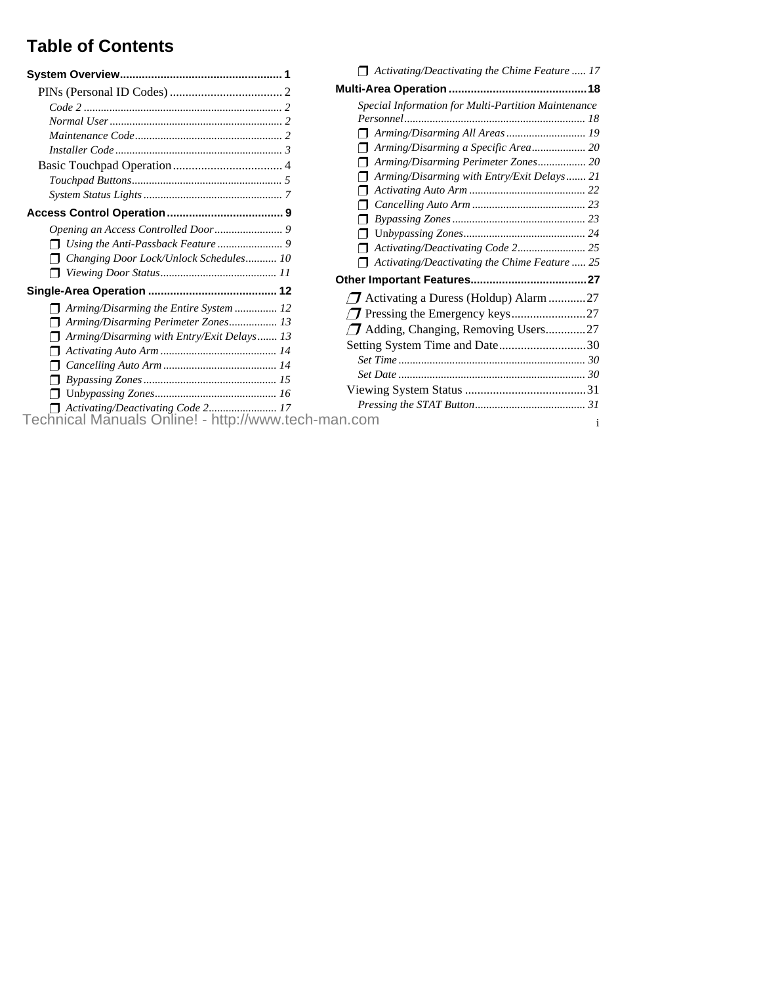# **Table of Contents**

|                                                     | A                              |
|-----------------------------------------------------|--------------------------------|
|                                                     | Multi-Ar                       |
|                                                     | Spec                           |
|                                                     | Pers                           |
|                                                     | A                              |
|                                                     | A                              |
|                                                     | A                              |
|                                                     | A                              |
|                                                     | A                              |
|                                                     | C                              |
|                                                     |                                |
|                                                     |                                |
|                                                     |                                |
| Changing Door Lock/Unlock Schedules 10              | A                              |
|                                                     | Other In                       |
|                                                     | Ac<br>$\sqrt{7}$               |
| Arming/Disarming the Entire System  12              |                                |
| Arming/Disarming Perimeter Zones 13                 | $\boldsymbol{\mathcal{T}}$ Pro |
| Arming/Disarming with Entry/Exit Delays 13          | $\nabla$ Ad                    |
|                                                     | Setting                        |
|                                                     | Set 7                          |
|                                                     | Set L                          |
|                                                     | Viewi                          |
| Activating/Deactivating Code 2 17                   | Pres                           |
| Technical Manuals Online! - http://www.tech-man.com |                                |

| Activating/Deactivating the Chime Feature  17        |              |
|------------------------------------------------------|--------------|
|                                                      |              |
| Special Information for Multi-Partition Maintenance  |              |
|                                                      |              |
|                                                      |              |
|                                                      |              |
| Arming/Disarming Perimeter Zones 20                  |              |
| Arming/Disarming with Entry/Exit Delays 21           |              |
|                                                      |              |
|                                                      |              |
|                                                      |              |
|                                                      |              |
|                                                      |              |
| $\Box$ Activating/Deactivating the Chime Feature  25 |              |
|                                                      |              |
| Activating a Duress (Holdup) Alarm 27                |              |
|                                                      |              |
| Adding, Changing, Removing Users27                   |              |
| Setting System Time and Date30                       |              |
|                                                      |              |
|                                                      |              |
|                                                      |              |
|                                                      |              |
| an.com                                               | $\mathbf{1}$ |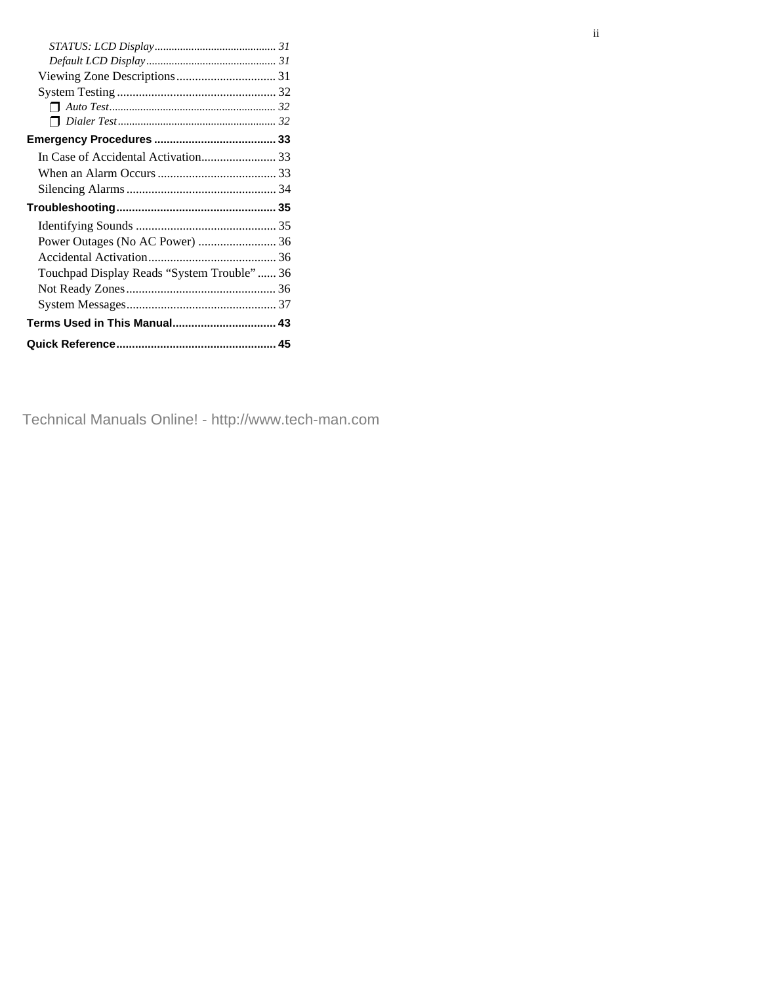| Touchpad Display Reads "System Trouble"  36 |  |
|---------------------------------------------|--|
|                                             |  |
|                                             |  |
|                                             |  |
|                                             |  |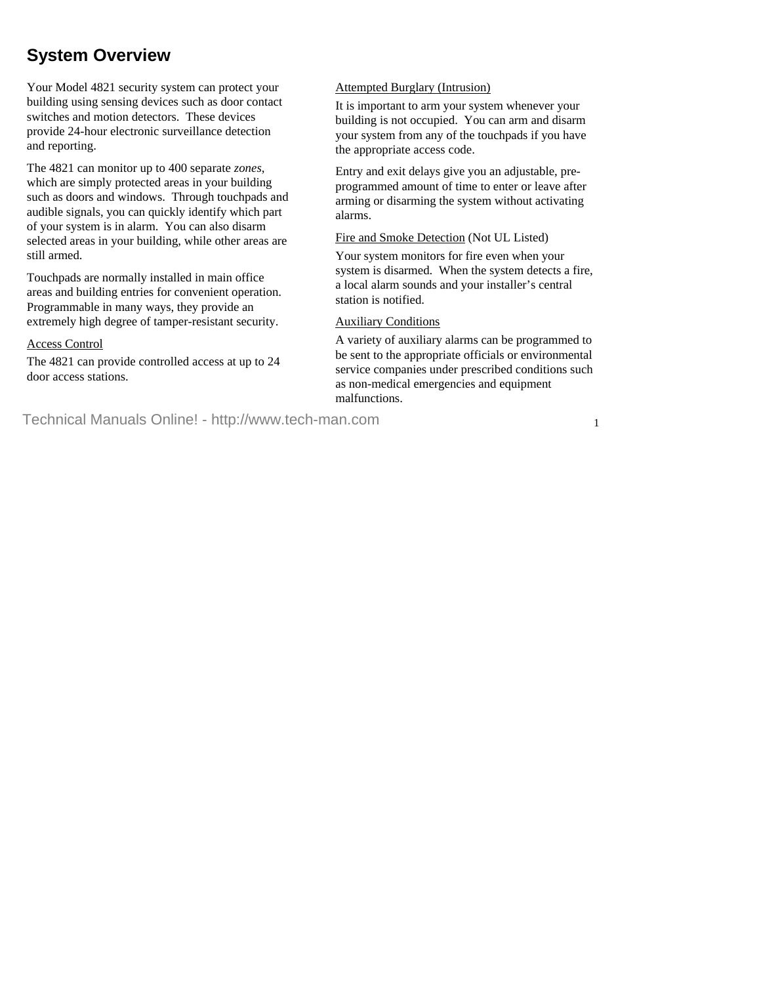# **System Overview**

Your Model 4821 security system can protect your building using sensing devices such as door contact switches and motion detectors. These devices provide 24-hour electronic surveillance detection and reporting.

The 4821 can monitor up to 400 separate *zones*, which are simply protected areas in your building such as doors and windows. Through touchpads and audible signals, you can quickly identify which part of your system is in alarm. You can also disarm selected areas in your building, while other areas are still armed.

Touchpads are normally installed in main office areas and building entries for convenient operation. Programmable in many ways, they provide an extremely high degree of tamper-resistant security.

#### Access Control

The 4821 can provide controlled access at up to 24 door access stations.

#### Attempted Burglary (Intrusion)

It is important to arm your system whenever your building is not occupied. You can arm and disarm your system from any of the touchpads if you have the appropriate access code.

Entry and exit delays give you an adjustable, preprogrammed amount of time to enter or leave after arming or disarming the system without activating alarms.

#### Fire and Smoke Detection (Not UL Listed)

Your system monitors for fire even when your system is disarmed. When the system detects a fire, a local alarm sounds and your installer's central station is notified.

#### Auxiliary Conditions

A variety of auxiliary alarms can be programmed to be sent to the appropriate officials or environmental service companies under prescribed conditions such as non-medical emergencies and equipment malfunctions.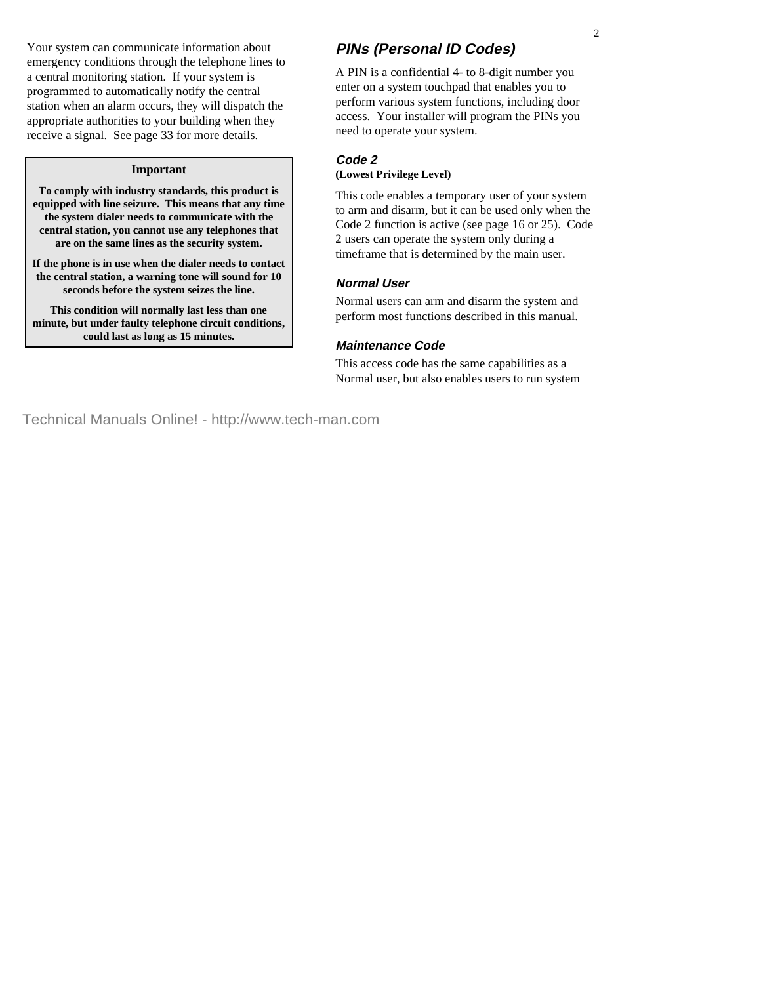Your system can communicate information about emergency conditions through the telephone lines to a central monitoring station. If your system is programmed to automatically notify the central station when an alarm occurs, they will dispatch the appropriate authorities to your building when they receive a signal. See page 33 for more details.

#### **Important**

**To comply with industry standards, this product is equipped with line seizure. This means that any time the system dialer needs to communicate with the central station, you cannot use any telephones that are on the same lines as the security system.**

**If the phone is in use when the dialer needs to contact the central station, a warning tone will sound for 10 seconds before the system seizes the line.**

**This condition will normally last less than one minute, but under faulty telephone circuit conditions, could last as long as 15 minutes.**

# **PINs (Personal ID Codes)**

A PIN is a confidential 4- to 8-digit number you enter on a system touchpad that enables you to perform various system functions, including door access. Your installer will program the PINs you need to operate your system.

#### **Code 2 (Lowest Privilege Level)**

This code enables a temporary user of your system to arm and disarm, but it can be used only when the Code 2 function is active (see page 16 or 25). Code 2 users can operate the system only during a timeframe that is determined by the main user.

#### **Normal User**

Normal users can arm and disarm the system and perform most functions described in this manual.

# **Maintenance Code**

This access code has the same capabilities as a Normal user, but also enables users to run system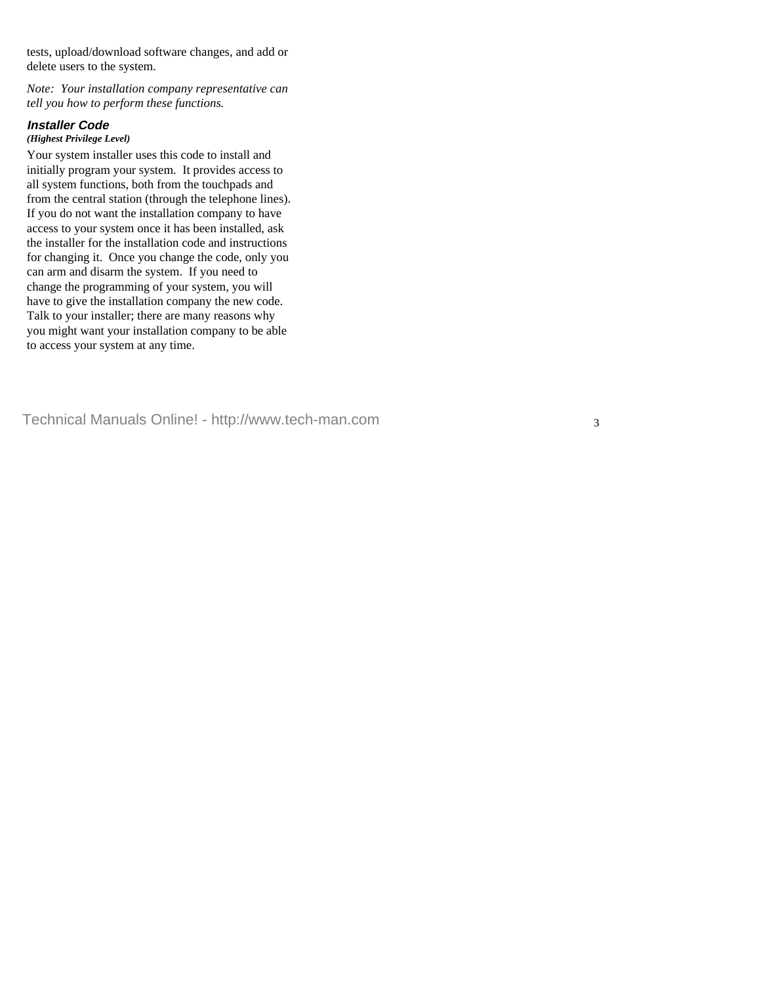tests, upload/download software changes, and add or delete users to the system.

*Note: Your installation company representative can tell you how to perform these functions.*

# **Installer Code**

#### *(Highest Privilege Level)*

Your system installer uses this code to install and initially program your system. It provides access to all system functions, both from the touchpads and from the central station (through the telephone lines). If you do not want the installation company to have access to your system once it has been installed, ask the installer for the installation code and instructions for changing it. Once you change the code, only you can arm and disarm the system. If you need to change the programming of your system, you will have to give the installation company the new code. Talk to your installer; there are many reasons why you might want your installation company to be able to access your system at any time.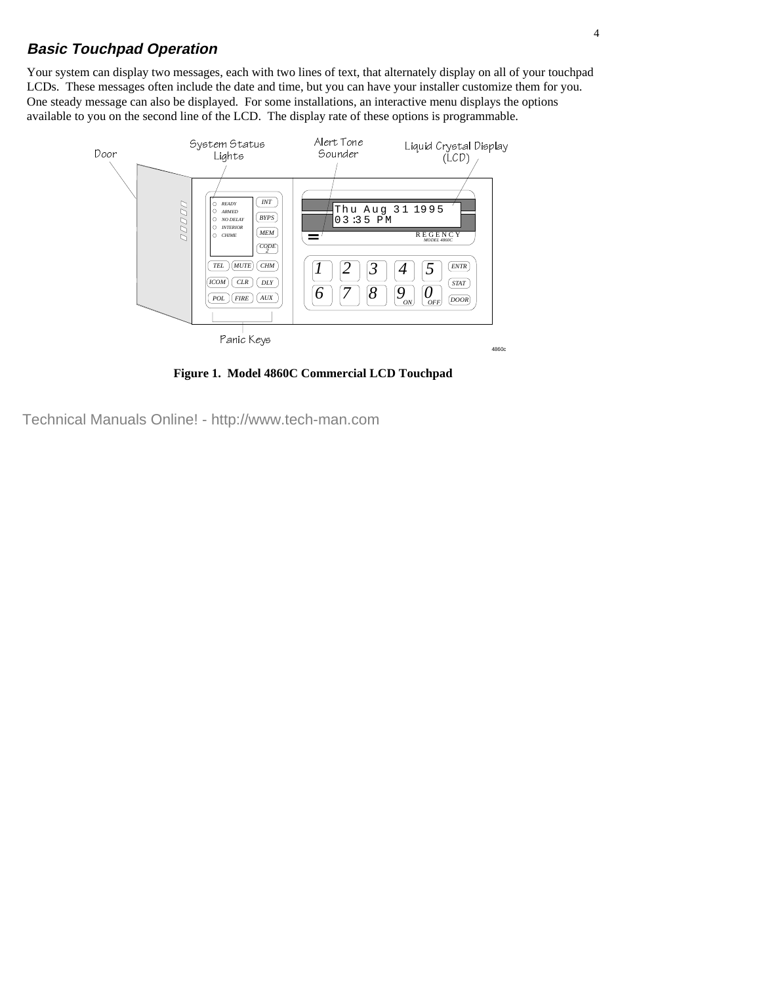# **Basic Touchpad Operation**

Your system can display two messages, each with two lines of text, that alternately display on all of your touchpad LCDs. These messages often include the date and time, but you can have your installer customize them for you. One steady message can also be displayed. For some installations, an interactive menu displays the options available to you on the second line of the LCD. The display rate of these options is programmable.



**Figure 1. Model 4860C Commercial LCD Touchpad**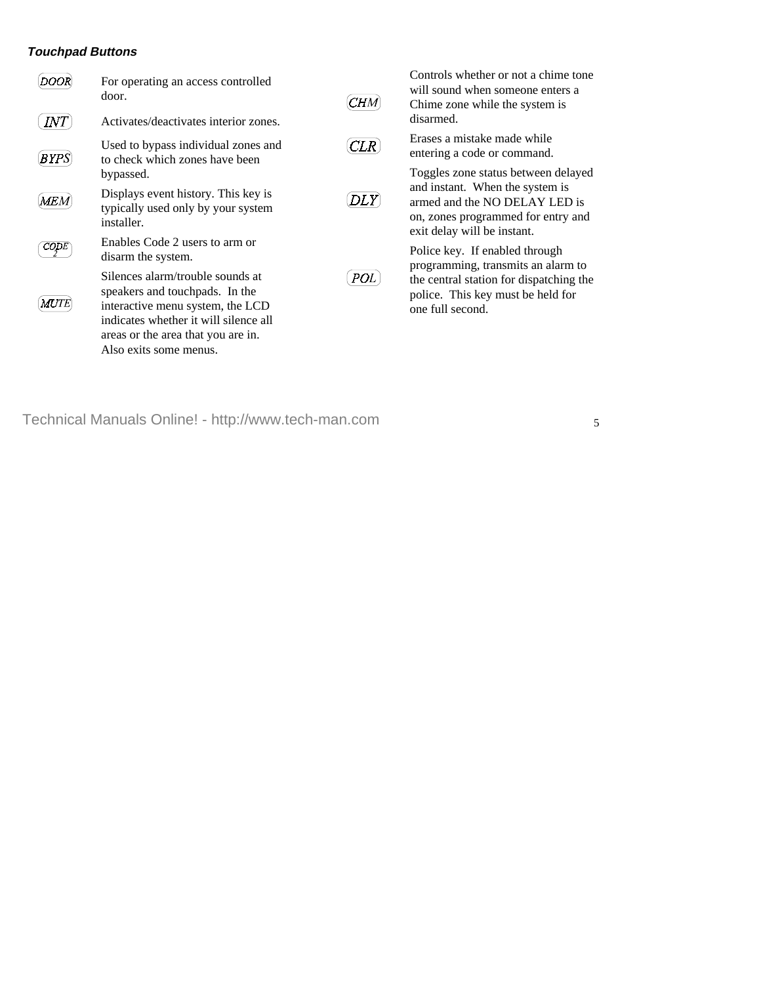#### **Touchpad Buttons**



For operating an access controlled door.



Activates/deactivates interior zones.



Used to bypass individual zones and to check which zones have been bypassed.



Displays event history. This key is typically used only by your system installer.



Enables Code 2 users to arm or disarm the system.



Silences alarm/trouble sounds at speakers and touchpads. In the interactive menu system, the LCD indicates whether it will silence all areas or the area that you are in. Also exits some menus.



Controls whether or not a chime tone will sound when someone enters a Chime zone while the system is disarmed.



Erases a mistake made while entering a code or command.



Toggles zone status between delayed and instant. When the system is armed and the NO DELAY LED is on, zones programmed for entry and exit delay will be instant.



Police key. If enabled through programming, transmits an alarm to the central station for dispatching the police. This key must be held for one full second.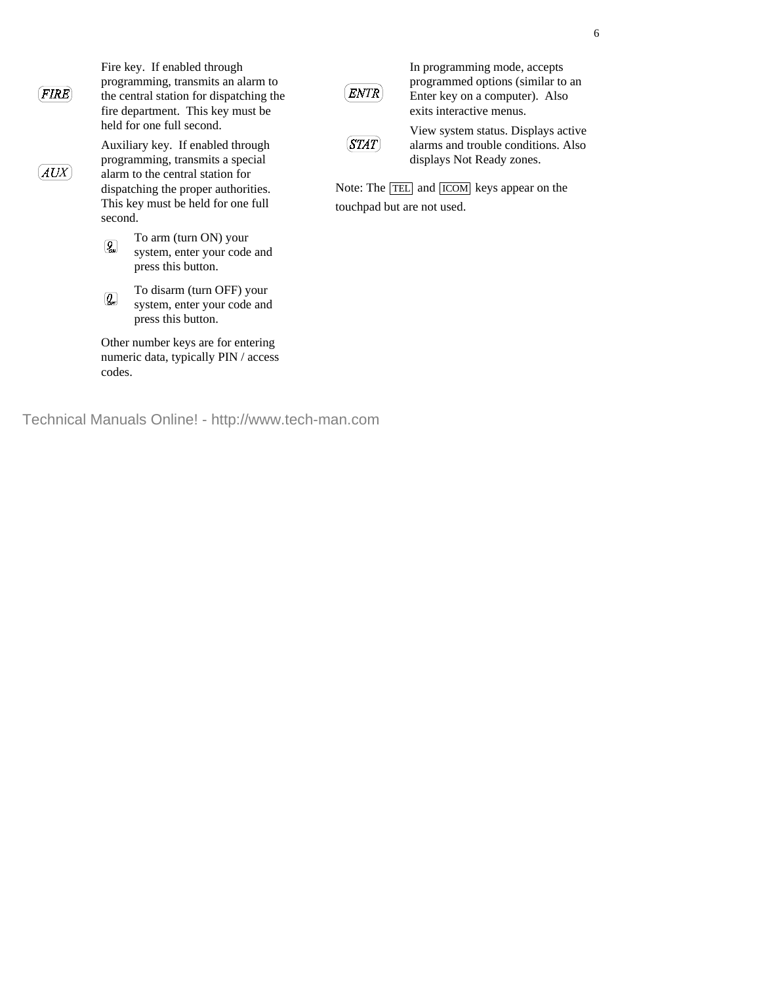**FIRE** 

**AUX** 

Fire key. If enabled through programming, transmits an alarm to the central station for dispatching the fire department. This key must be held for one full second.

Auxiliary key. If enabled through programming, transmits a special alarm to the central station for dispatching the proper authorities. This key must be held for one full second.



To arm (turn ON) your system, enter your code and press this button.



To disarm (turn OFF) your system, enter your code and press this button.

Other number keys are for entering numeric data, typically PIN / access codes.

Technical Manuals Online! - http://www.tech-man.com



In programming mode, accepts programmed options (similar to an Enter key on a computer). Also exits interactive menus.



View system status. Displays active alarms and trouble conditions. Also displays Not Ready zones.

Note: The TEL and ICOM keys appear on the touchpad but are not used.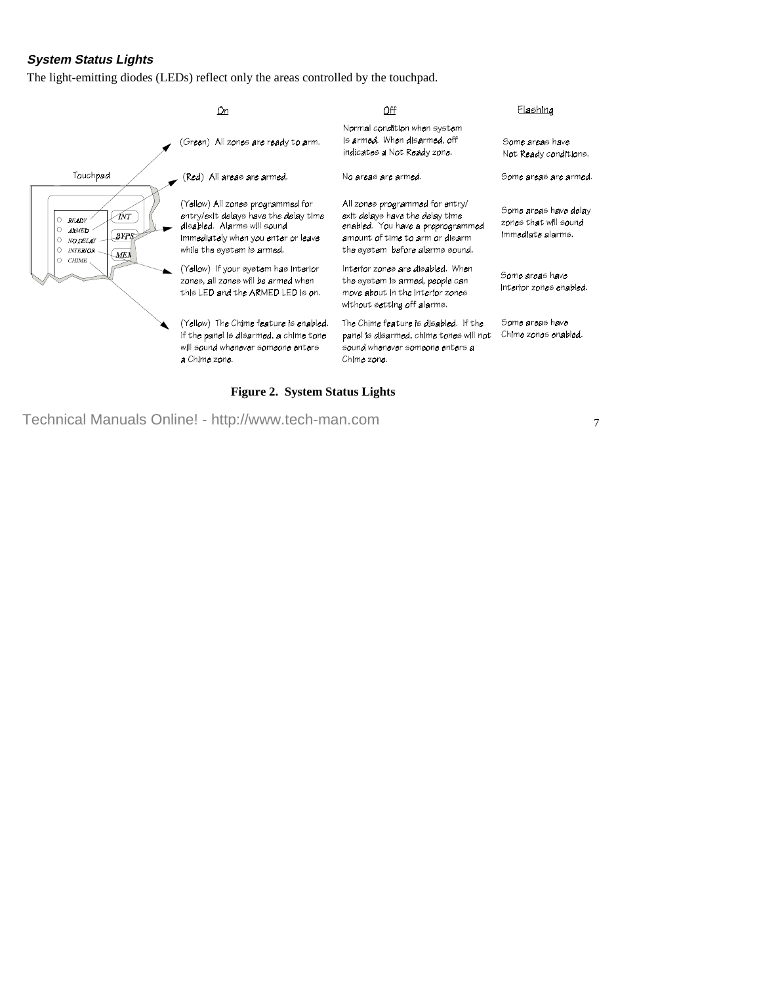#### **System Status Lights**

The light-emitting diodes (LEDs) reflect only the areas controlled by the touchpad.



#### **Figure 2. System Status Lights**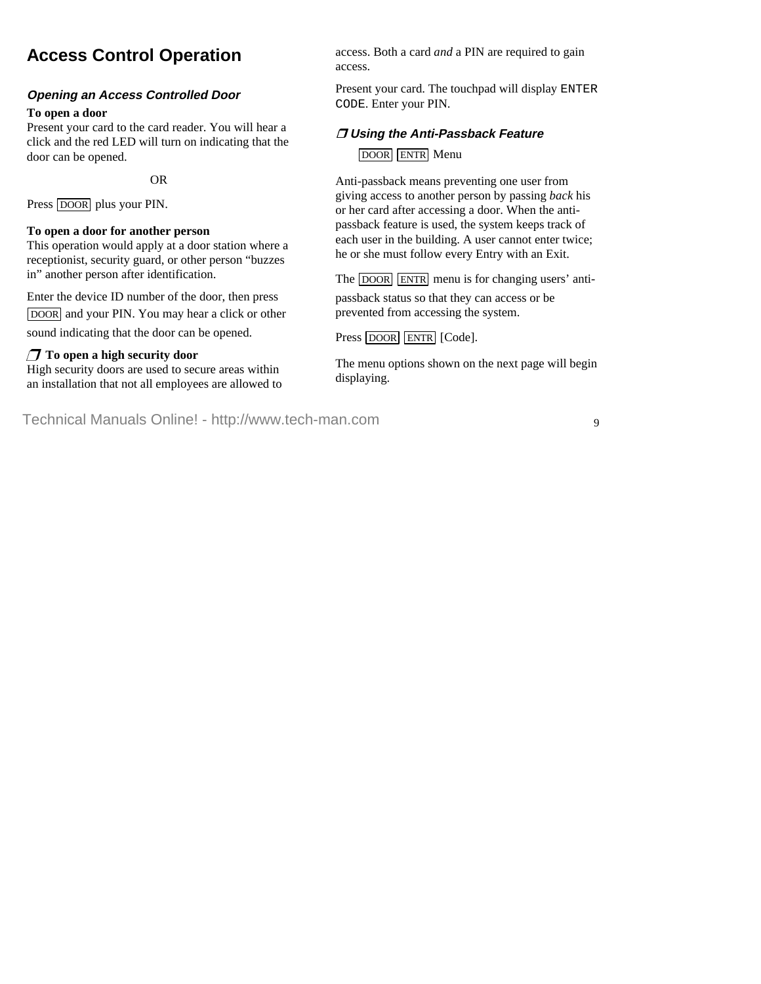# **Access Control Operation**

#### **Opening an Access Controlled Door**

#### **To open a door**

Present your card to the card reader. You will hear a click and the red LED will turn on indicating that the door can be opened.

 $-OR-$ 

Press DOOR plus your PIN.

#### **To open a door for another person**

This operation would apply at a door station where a receptionist, security guard, or other person "buzzes in" another person after identification.

Enter the device ID number of the door, then press DOOR and your PIN. You may hear a click or other sound indicating that the door can be opened.

# U **To open a high security door**

High security doors are used to secure areas within an installation that not all employees are allowed to access. Both a card *and* a PIN are required to gain access.

Present your card. The touchpad will display ENTER CODE. Enter your PIN.

# **Using the Anti-Passback Feature**

# DOOR ENTR Menu

Anti-passback means preventing one user from giving access to another person by passing *back* his or her card after accessing a door. When the antipassback feature is used, the system keeps track of each user in the building. A user cannot enter twice; he or she must follow every Entry with an Exit.

The DOOR ENTR menu is for changing users' antipassback status so that they can access or be prevented from accessing the system.

Press DOOR ENTR [Code].

The menu options shown on the next page will begin displaying.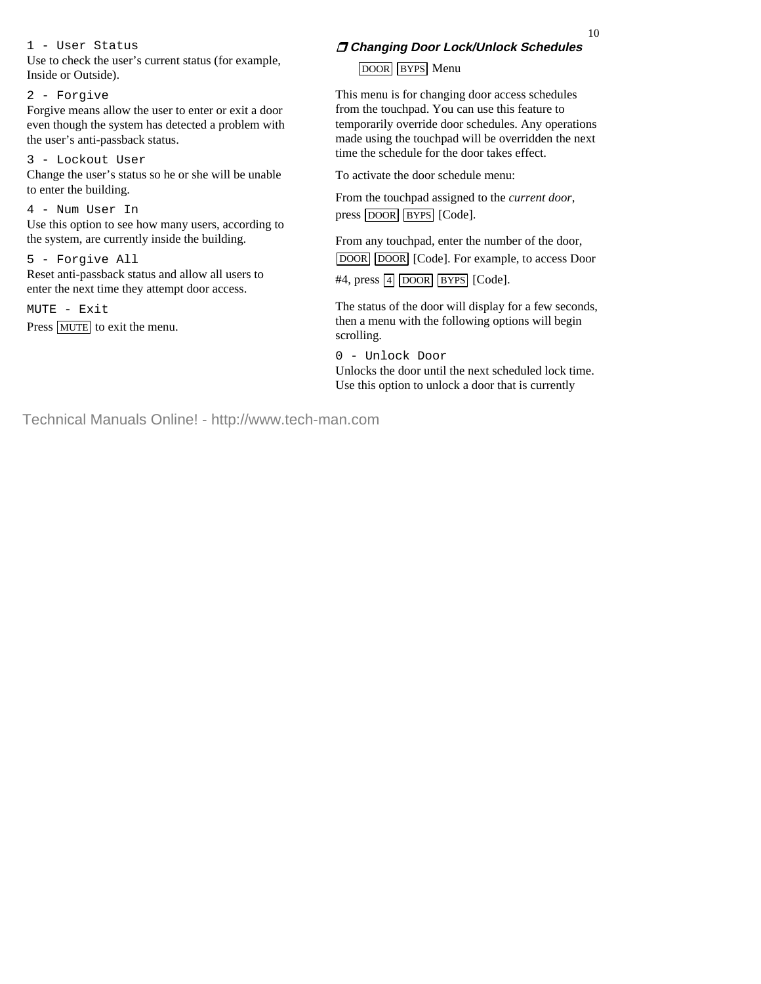1 - User Status

Use to check the user's current status (for example, Inside or Outside).

#### 2 - Forgive

Forgive means allow the user to enter or exit a door even though the system has detected a problem with the user's anti-passback status.

#### 3 - Lockout User

Change the user's status so he or she will be unable to enter the building.

#### 4 - Num User In

Use this option to see how many users, according to the system, are currently inside the building.

#### 5 - Forgive All

Reset anti-passback status and allow all users to enter the next time they attempt door access.

 $MUTE = Exit$ 

Press MUTE to exit the menu.

# **Changing Door Lock/Unlock Schedules**

# DOOR BYPS Menu

This menu is for changing door access schedules from the touchpad. You can use this feature to temporarily override door schedules. Any operations made using the touchpad will be overridden the next time the schedule for the door takes effect.

To activate the door schedule menu:

From the touchpad assigned to the *current door*, press DOOR BYPS [Code].

From any touchpad, enter the number of the door, DOOR DOOR [Code]. For example, to access Door  $#4$ , press  $\boxed{4}$  DOOR BYPS [Code].

The status of the door will display for a few seconds, then a menu with the following options will begin scrolling.

0 - Unlock Door Unlocks the door until the next scheduled lock time. Use this option to unlock a door that is currently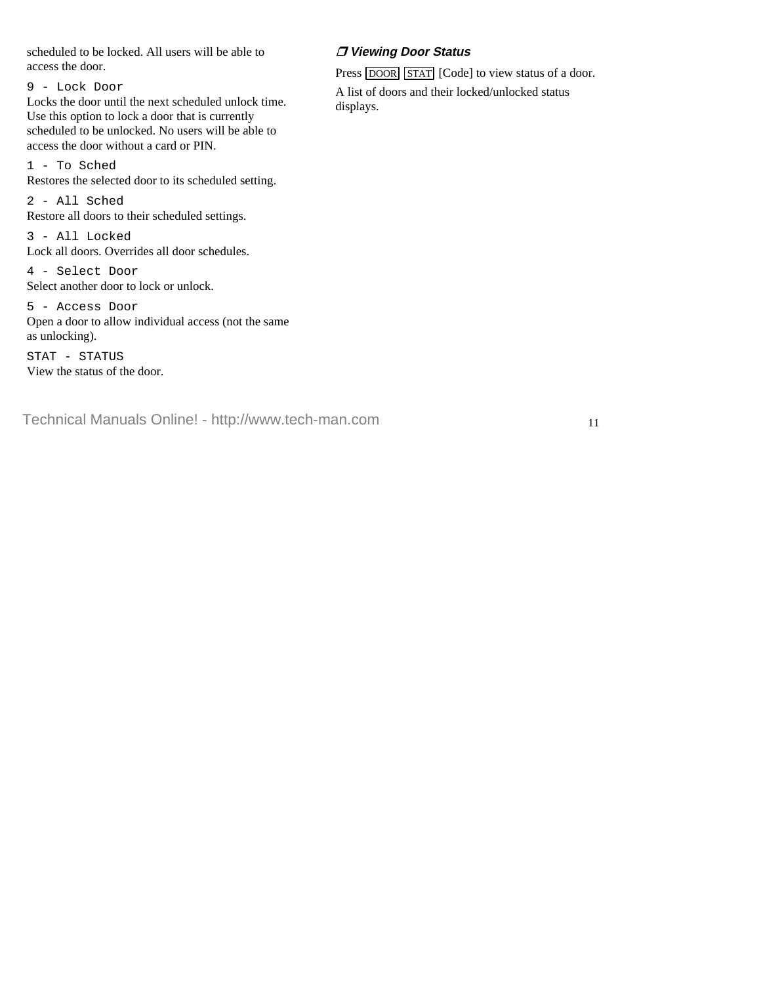scheduled to be locked. All users will be able to access the door.

9 - Lock Door

Locks the door until the next scheduled unlock time. Use this option to lock a door that is currently scheduled to be unlocked. No users will be able to access the door without a card or PIN.

1 - To Sched

Restores the selected door to its scheduled setting.

2 - All Sched Restore all doors to their scheduled settings.

3 - All Locked Lock all doors. Overrides all door schedules.

4 - Select Door Select another door to lock or unlock.

5 - Access Door Open a door to allow individual access (not the same as unlocking).

STAT - STATUS View the status of the door.

# **Viewing Door Status**

Press DOOR STAT [Code] to view status of a door.

A list of doors and their locked/unlocked status displays.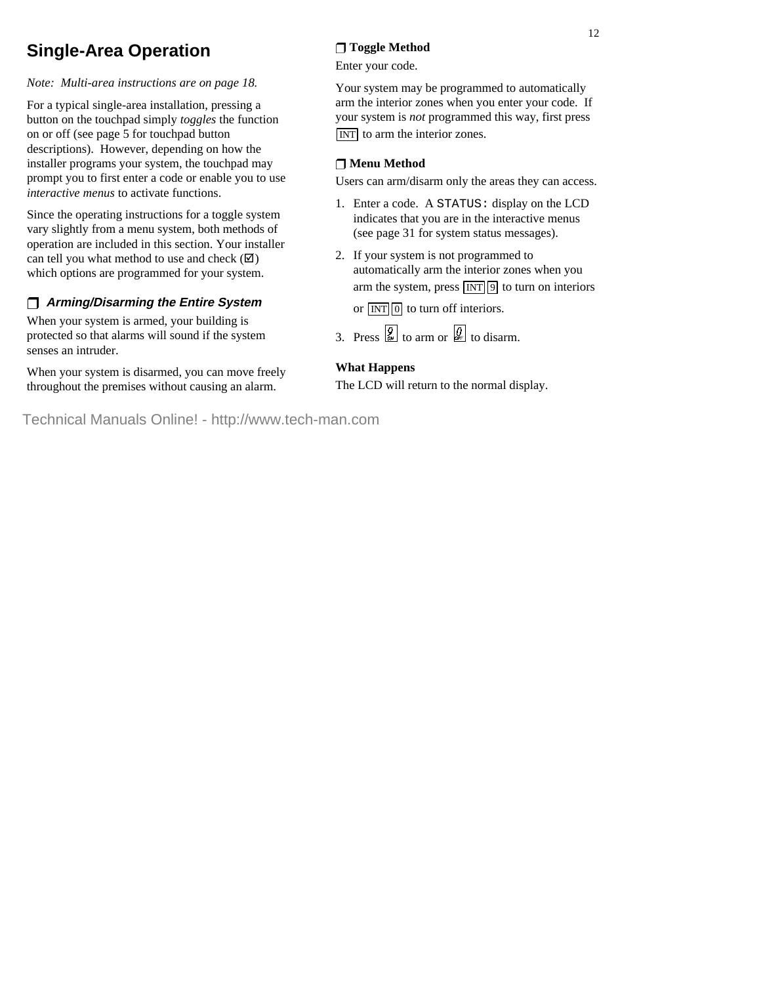# **Single-Area Operation**

*Note: Multi-area instructions are on page 18.*

For a typical single-area installation, pressing a button on the touchpad simply *toggles* the function on or off (see page 5 for touchpad button descriptions). However, depending on how the installer programs your system, the touchpad may prompt you to first enter a code or enable you to use *interactive menus* to activate functions.

Since the operating instructions for a toggle system vary slightly from a menu system, both methods of operation are included in this section. Your installer can tell you what method to use and check  $(\mathbf{\nabla})$ which options are programmed for your system.

# U **Arming/Disarming the Entire System**

When your system is armed, your building is protected so that alarms will sound if the system senses an intruder.

When your system is disarmed, you can move freely throughout the premises without causing an alarm.

# U **Toggle Method**

Enter your code.

Your system may be programmed to automatically arm the interior zones when you enter your code. If your system is *not* programmed this way, first press INT to arm the interior zones.

### U **Menu Method**

Users can arm/disarm only the areas they can access.

- 1. Enter a code. A STATUS: display on the LCD indicates that you are in the interactive menus (see page 31 for system status messages).
- 2. If your system is not programmed to automatically arm the interior zones when you arm the system, press  $\boxed{INT}$  9 to turn on interiors

or  $\boxed{\text{INT}}$  0 to turn off interiors.

3. Press  $\left[\frac{9}{2}\right]$  to arm or  $\left[\frac{9}{2}\right]$  to disarm.

#### **What Happens**

The LCD will return to the normal display.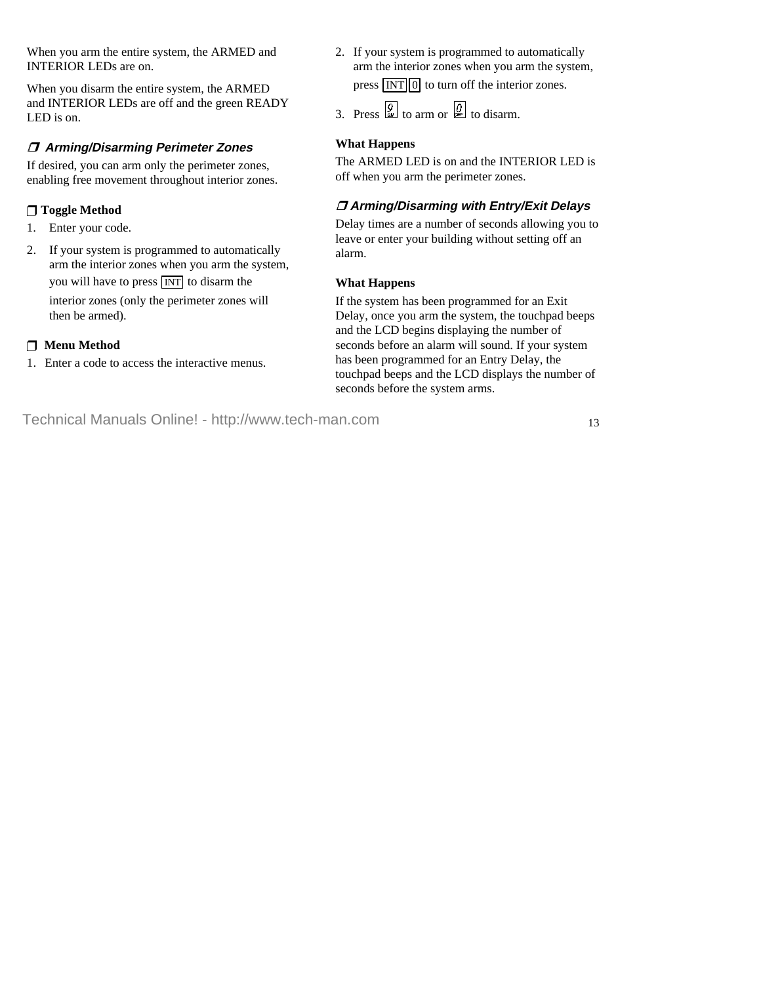When you arm the entire system, the ARMED and INTERIOR LEDs are on.

When you disarm the entire system, the ARMED and INTERIOR LEDs are off and the green READY LED is on.

# **Arming/Disarming Perimeter Zones**

If desired, you can arm only the perimeter zones, enabling free movement throughout interior zones.

#### U **Toggle Method**

- 1. Enter your code.
- 2. If your system is programmed to automatically arm the interior zones when you arm the system, you will have to press INT to disarm the interior zones (only the perimeter zones will then be armed).

#### **Menu Method**

Enter a code to access the interactive menus.

2. If your system is programmed to automatically arm the interior zones when you arm the system, press  $\boxed{\text{INT}}$  0 to turn off the interior zones.

3. Press  $\overline{Q}$  to arm or  $\overline{Q}$  to disarm.

#### **What Happens**

The ARMED LED is on and the INTERIOR LED is off when you arm the perimeter zones.

# **Arming/Disarming with Entry/Exit Delays**

Delay times are a number of seconds allowing you to leave or enter your building without setting off an alarm.

#### **What Happens**

If the system has been programmed for an Exit Delay, once you arm the system, the touchpad beeps and the LCD begins displaying the number of seconds before an alarm will sound. If your system has been programmed for an Entry Delay, the touchpad beeps and the LCD displays the number of seconds before the system arms.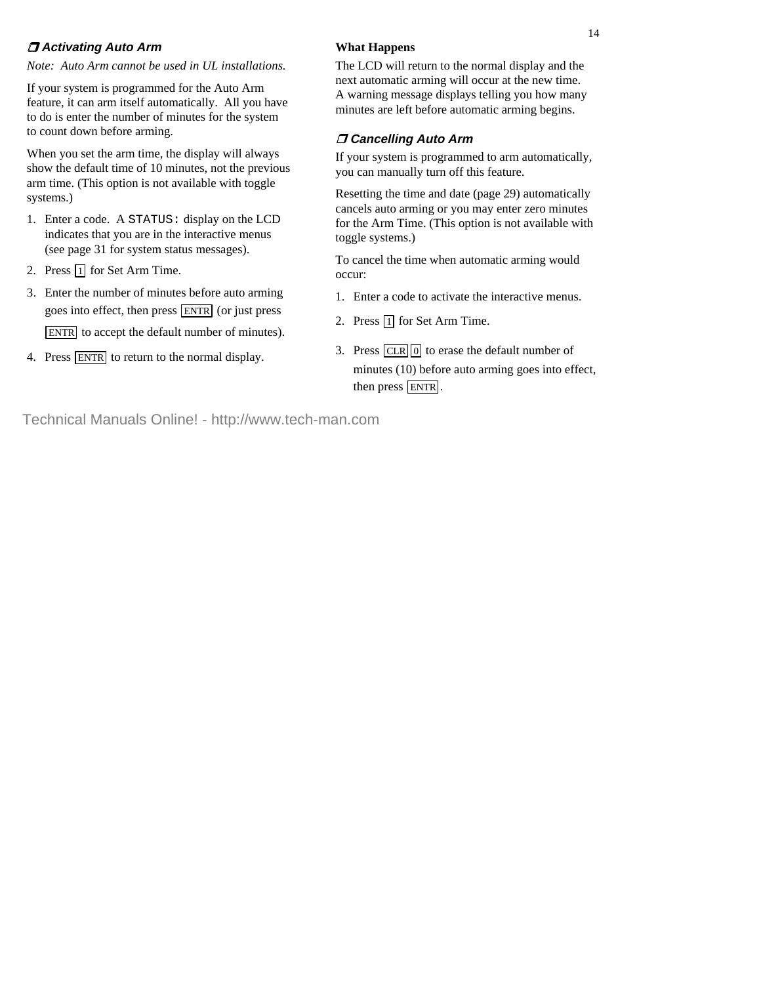### **Activating Auto Arm**

*Note: Auto Arm cannot be used in UL installations.*

If your system is programmed for the Auto Arm feature, it can arm itself automatically. All you have to do is enter the number of minutes for the system to count down before arming.

When you set the arm time, the display will always show the default time of 10 minutes, not the previous arm time. (This option is not available with toggle systems.)

- 1. Enter a code. A STATUS: display on the LCD indicates that you are in the interactive menus (see page 31 for system status messages).
- 2. Press  $\boxed{1}$  for Set Arm Time.
- 3. Enter the number of minutes before auto arming goes into effect, then press ENTR (or just press ENTR to accept the default number of minutes).
- 4. Press ENTR to return to the normal display.

### **What Happens**

The LCD will return to the normal display and the next automatic arming will occur at the new time. A warning message displays telling you how many minutes are left before automatic arming begins.

# **Cancelling Auto Arm**

If your system is programmed to arm automatically, you can manually turn off this feature.

Resetting the time and date (page 29) automatically cancels auto arming or you may enter zero minutes for the Arm Time. (This option is not available with toggle systems.)

To cancel the time when automatic arming would occur:

- 1. Enter a code to activate the interactive menus.
- 2. Press  $\boxed{1}$  for Set Arm Time.
- 3. Press  $CLR[0]$  to erase the default number of minutes (10) before auto arming goes into effect, then press **ENTR**.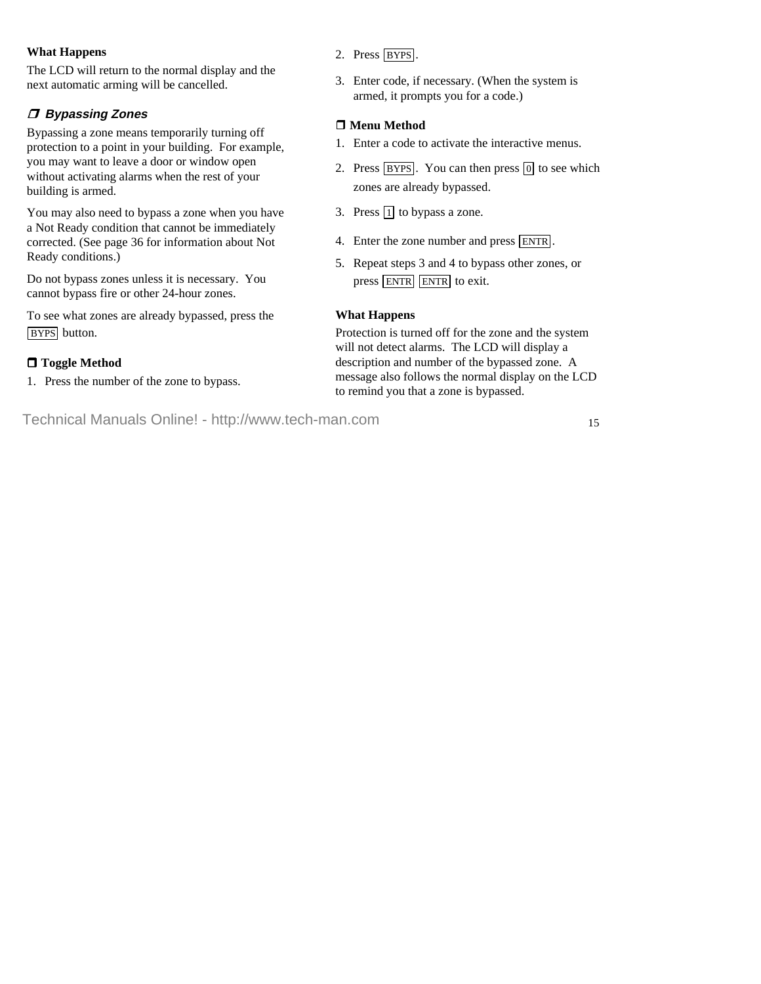#### **What Happens**

The LCD will return to the normal display and the next automatic arming will be cancelled.

# **Bypassing Zones**

Bypassing a zone means temporarily turning off protection to a point in your building. For example, you may want to leave a door or window open without activating alarms when the rest of your building is armed.

You may also need to bypass a zone when you have a Not Ready condition that cannot be immediately corrected. (See page 36 for information about Not Ready conditions.)

Do not bypass zones unless it is necessary. You cannot bypass fire or other 24-hour zones.

To see what zones are already bypassed, press the BYPS button.

# **Toggle Method**

1. Press the number of the zone to bypass.

- 2. Press BYPS.
- 3. Enter code, if necessary. (When the system is armed, it prompts you for a code.)

# **Menu Method**

- 1. Enter a code to activate the interactive menus.
- 2. Press  $BYPS$ . You can then press  $[0]$  to see which zones are already bypassed.
- 3. Press  $\boxed{1}$  to bypass a zone.
- 4. Enter the zone number and press **ENTR**.
- 5. Repeat steps 3 and 4 to bypass other zones, or press ENTR ENTR to exit.

### **What Happens**

Protection is turned off for the zone and the system will not detect alarms. The LCD will display a description and number of the bypassed zone. A message also follows the normal display on the LCD to remind you that a zone is bypassed.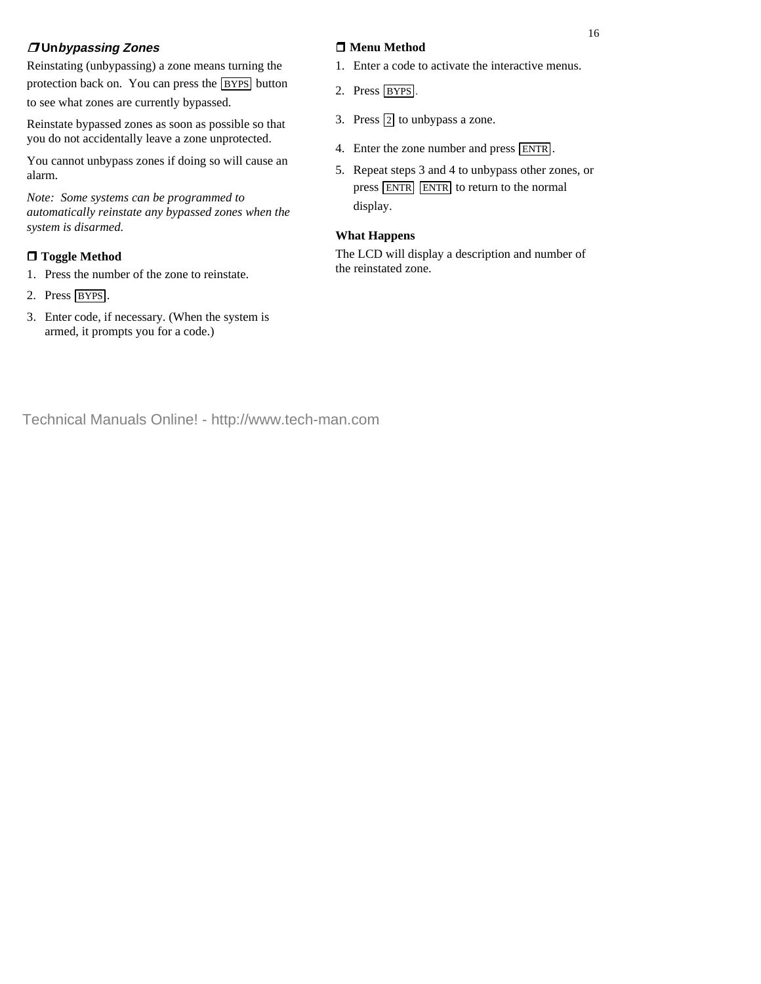# **Unbypassing Zones**

Reinstating (unbypassing) a zone means turning the protection back on. You can press the **BYPS** button to see what zones are currently bypassed.

Reinstate bypassed zones as soon as possible so that you do not accidentally leave a zone unprotected.

You cannot unbypass zones if doing so will cause an alarm.

*Note: Some systems can be programmed to automatically reinstate any bypassed zones when the system is disarmed.*

# **Toggle Method**

- 1. Press the number of the zone to reinstate.
- 2. Press BYPS.
- 3. Enter code, if necessary. (When the system is armed, it prompts you for a code.)

### **Menu Method**

- 1. Enter a code to activate the interactive menus.
- 2. Press BYPS.
- 3. Press  $\boxed{2}$  to unbypass a zone.
- 4. Enter the zone number and press ENTR .
- 5. Repeat steps 3 and 4 to unbypass other zones, or press ENTR ENTR to return to the normal display.

#### **What Happens**

The LCD will display a description and number of the reinstated zone.

16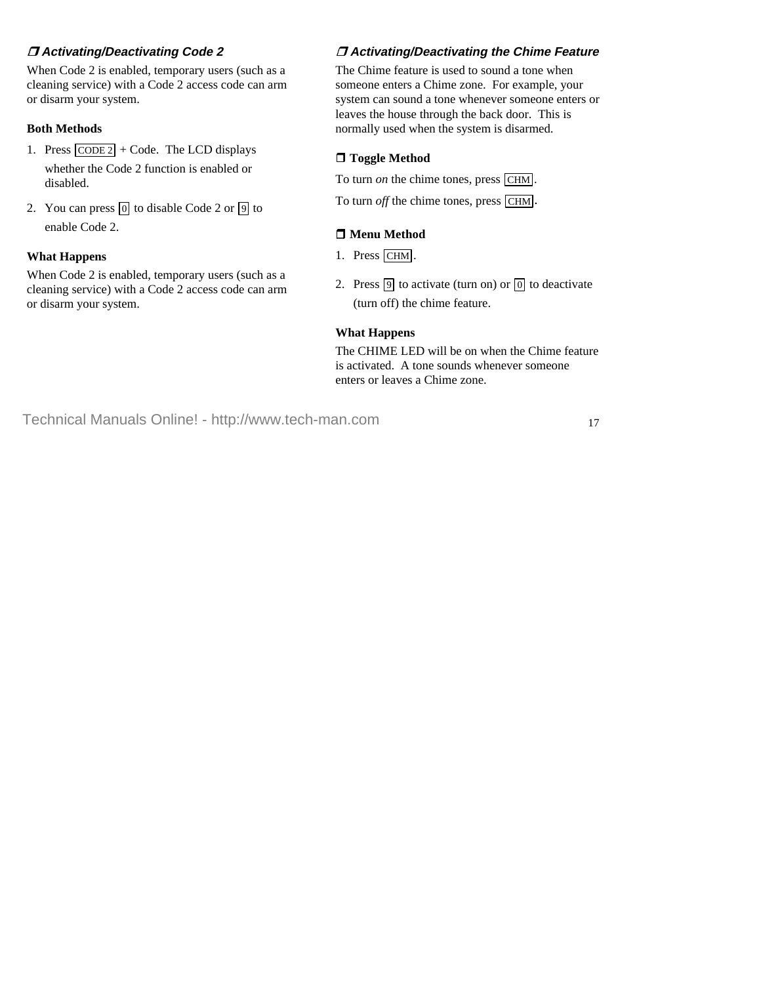# **Activating/Deactivating Code 2**

When Code 2 is enabled, temporary users (such as a cleaning service) with a Code 2 access code can arm or disarm your system.

#### **Both Methods**

- 1. Press  $\overline{CODE 2}$  + Code. The LCD displays whether the Code 2 function is enabled or disabled.
- 2. You can press  $\boxed{0}$  to disable Code 2 or  $\boxed{9}$  to enable Code 2.

#### **What Happens**

When Code 2 is enabled, temporary users (such as a cleaning service) with a Code 2 access code can arm or disarm your system.

# **Activating/Deactivating the Chime Feature**

The Chime feature is used to sound a tone when someone enters a Chime zone. For example, your system can sound a tone whenever someone enters or leaves the house through the back door. This is normally used when the system is disarmed.

# **Toggle Method**

To turn *on* the chime tones, press [CHM]. To turn *off* the chime tones, press CHM.

#### **Menu Method**

- 1. Press CHM .
- 2. Press  $\boxed{9}$  to activate (turn on) or  $\boxed{0}$  to deactivate (turn off) the chime feature.

#### **What Happens**

The CHIME LED will be on when the Chime feature is activated. A tone sounds whenever someone enters or leaves a Chime zone.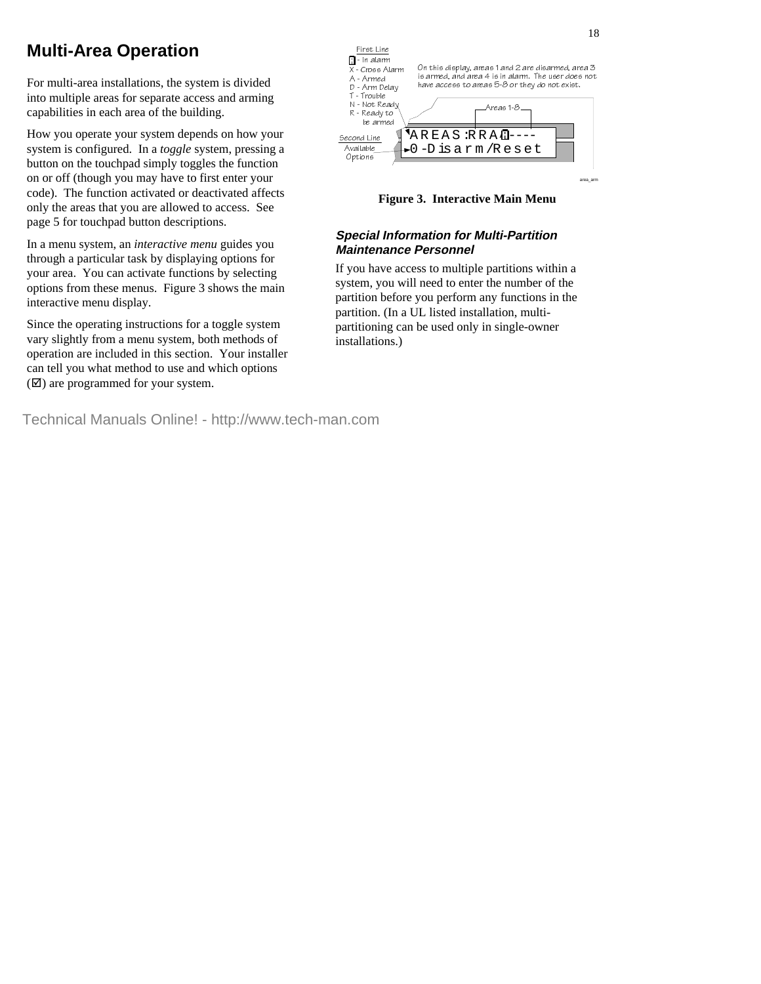# **Multi-Area Operation**

For multi-area installations, the system is divided into multiple areas for separate access and arming capabilities in each area of the building.

How you operate your system depends on how your system is configured. In a *toggle* system, pressing a button on the touchpad simply toggles the function on or off (though you may have to first enter your code). The function activated or deactivated affects only the areas that you are allowed to access. See page 5 for touchpad button descriptions.

In a menu system, an *interactive menu* guides you through a particular task by displaying options for your area. You can activate functions by selecting options from these menus. Figure 3 shows the main interactive menu display.

Since the operating instructions for a toggle system vary slightly from a menu system, both methods of operation are included in this section. Your installer can tell you what method to use and which options  $(\nabla)$  are programmed for your system.





#### **Special Information for Multi-Partition Maintenance Personnel**

If you have access to multiple partitions within a system, you will need to enter the number of the partition before you perform any functions in the partition. (In a UL listed installation, multipartitioning can be used only in single-owner installations.)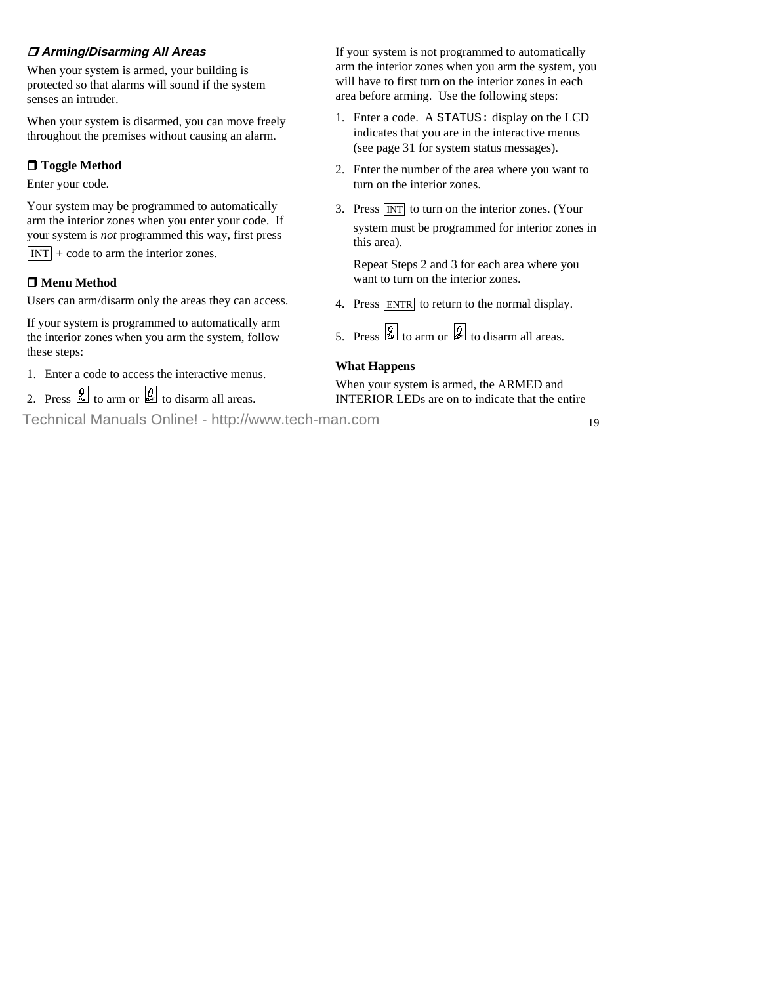# **Arming/Disarming All Areas**

When your system is armed, your building is protected so that alarms will sound if the system senses an intruder.

When your system is disarmed, you can move freely throughout the premises without causing an alarm.

# **Toggle Method**

Enter your code.

Your system may be programmed to automatically arm the interior zones when you enter your code. If your system is *not* programmed this way, first press  $\overline{INT}$  + code to arm the interior zones.

#### **Menu Method**

Users can arm/disarm only the areas they can access.

If your system is programmed to automatically arm the interior zones when you arm the system, follow these steps:

- 1. Enter a code to access the interactive menus.
- 2. Press  $\overline{\mathscr{L}}$  to arm or  $\overline{\mathscr{L}}$  to disarm all areas.

If your system is not programmed to automatically arm the interior zones when you arm the system, you will have to first turn on the interior zones in each area before arming. Use the following steps:

- 1. Enter a code. A STATUS: display on the LCD indicates that you are in the interactive menus (see page 31 for system status messages).
- 2. Enter the number of the area where you want to turn on the interior zones.
- 3. Press  $\boxed{INT}$  to turn on the interior zones. (Your system must be programmed for interior zones in this area).

 Repeat Steps 2 and 3 for each area where you want to turn on the interior zones.

4. Press ENTR to return to the normal display.

5. Press  $\begin{bmatrix} 9 \\ 2 \end{bmatrix}$  to arm or  $\begin{bmatrix} 0 \\ 4 \end{bmatrix}$  to disarm all areas.

#### **What Happens**

When your system is armed, the ARMED and INTERIOR LEDs are on to indicate that the entire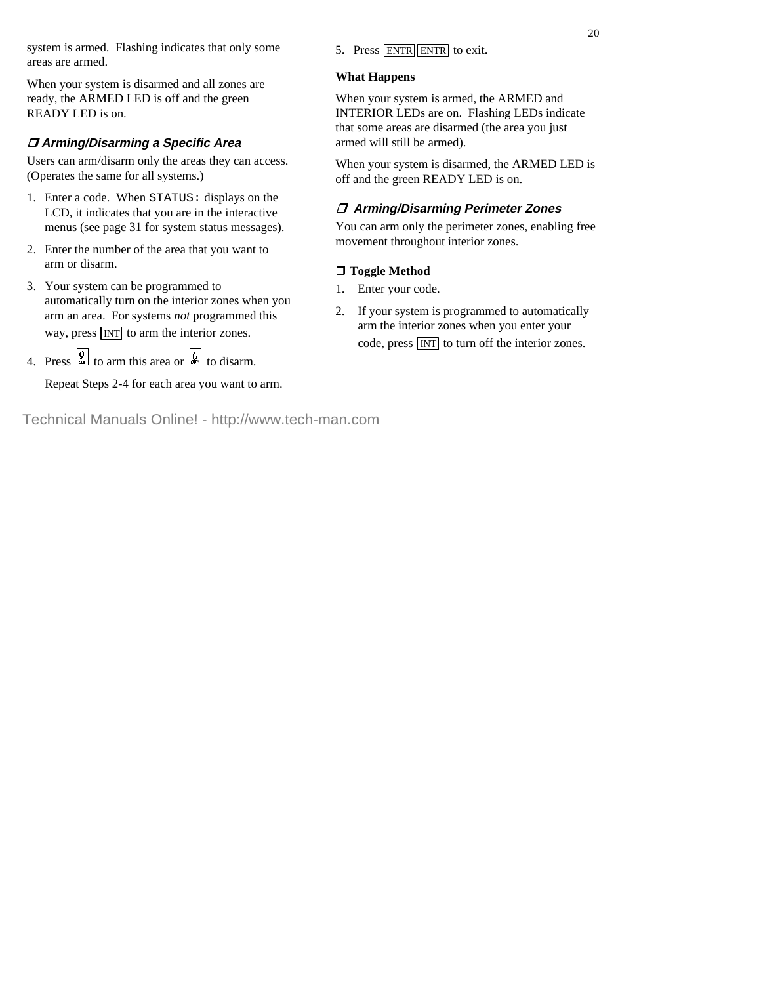system is armed. Flashing indicates that only some areas are armed.

When your system is disarmed and all zones are ready, the ARMED LED is off and the green READY LED is on.

# **Arming/Disarming a Specific Area**

Users can arm/disarm only the areas they can access. (Operates the same for all systems.)

- 1. Enter a code. When STATUS: displays on the LCD, it indicates that you are in the interactive menus (see page 31 for system status messages).
- 2. Enter the number of the area that you want to arm or disarm.
- 3. Your system can be programmed to automatically turn on the interior zones when you arm an area. For systems *not* programmed this way, press  $\overline{INT}$  to arm the interior zones.
- 4. Press  $\boxed{\frac{9}{25}}$  to arm this area or  $\boxed{\frac{9}{25}}$  to disarm.

Repeat Steps 2-4 for each area you want to arm.

5. Press ENTR ENTR to exit.

#### **What Happens**

When your system is armed, the ARMED and INTERIOR LEDs are on. Flashing LEDs indicate that some areas are disarmed (the area you just armed will still be armed).

When your system is disarmed, the ARMED LED is off and the green READY LED is on.

# **Arming/Disarming Perimeter Zones**

You can arm only the perimeter zones, enabling free movement throughout interior zones.

# **Toggle Method**

- Enter your code.
- 2. If your system is programmed to automatically arm the interior zones when you enter your code, press  $\boxed{INT}$  to turn off the interior zones.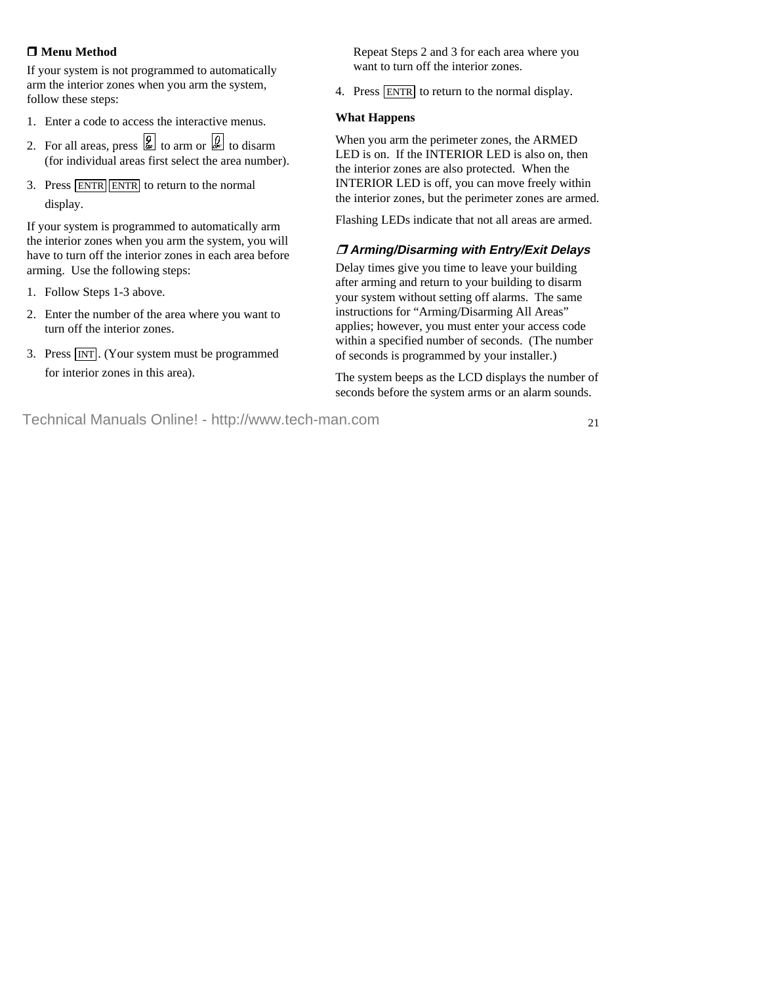#### **Menu Method**

If your system is not programmed to automatically arm the interior zones when you arm the system, follow these steps:

- 1. Enter a code to access the interactive menus.
- 2. For all areas, press  $\overline{Q}$  to arm or  $\overline{Q}$  to disarm (for individual areas first select the area number).
- 3. Press ENTR ENTR to return to the normal display.

If your system is programmed to automatically arm the interior zones when you arm the system, you will have to turn off the interior zones in each area before arming. Use the following steps:

- 1. Follow Steps 1-3 above.
- 2. Enter the number of the area where you want to turn off the interior zones.
- 3. Press  $\overline{INT}$ . (Your system must be programmed for interior zones in this area).

 Repeat Steps 2 and 3 for each area where you want to turn off the interior zones.

4. Press ENTR to return to the normal display.

#### **What Happens**

When you arm the perimeter zones, the ARMED LED is on. If the INTERIOR LED is also on, then the interior zones are also protected. When the INTERIOR LED is off, you can move freely within the interior zones, but the perimeter zones are armed.

Flashing LEDs indicate that not all areas are armed.

### **Arming/Disarming with Entry/Exit Delays**

Delay times give you time to leave your building after arming and return to your building to disarm your system without setting off alarms. The same instructions for "Arming/Disarming All Areas" applies; however, you must enter your access code within a specified number of seconds. (The number of seconds is programmed by your installer.)

The system beeps as the LCD displays the number of seconds before the system arms or an alarm sounds.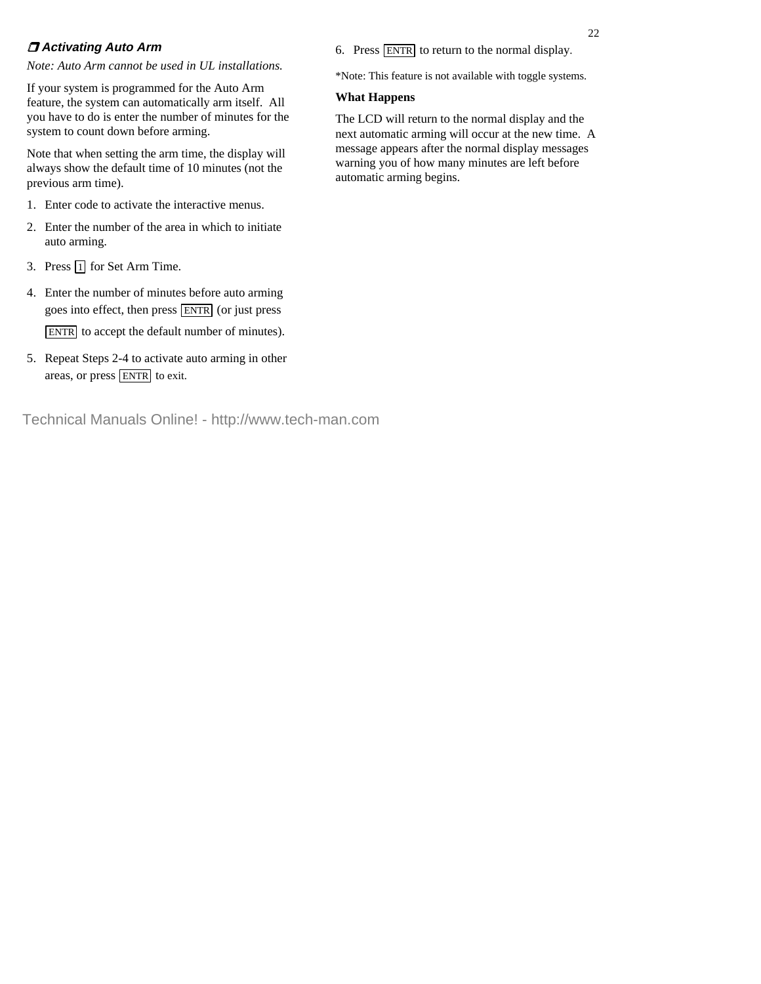### **Activating Auto Arm**

*Note: Auto Arm cannot be used in UL installations.*

If your system is programmed for the Auto Arm feature, the system can automatically arm itself. All you have to do is enter the number of minutes for the system to count down before arming.

Note that when setting the arm time, the display will always show the default time of 10 minutes (not the previous arm time).

- 1. Enter code to activate the interactive menus.
- 2. Enter the number of the area in which to initiate auto arming.
- 3. Press  $\boxed{1}$  for Set Arm Time.
- 4. Enter the number of minutes before auto arming goes into effect, then press ENTR (or just press ENTR to accept the default number of minutes).
- 5. Repeat Steps 2-4 to activate auto arming in other areas, or press  $\overline{\text{ENTER}}$  to exit.
- Technical Manuals Online! http://www.tech-man.com

6. Press ENTR to return to the normal display.

\*Note: This feature is not available with toggle systems.

#### **What Happens**

The LCD will return to the normal display and the next automatic arming will occur at the new time. A message appears after the normal display messages warning you of how many minutes are left before automatic arming begins.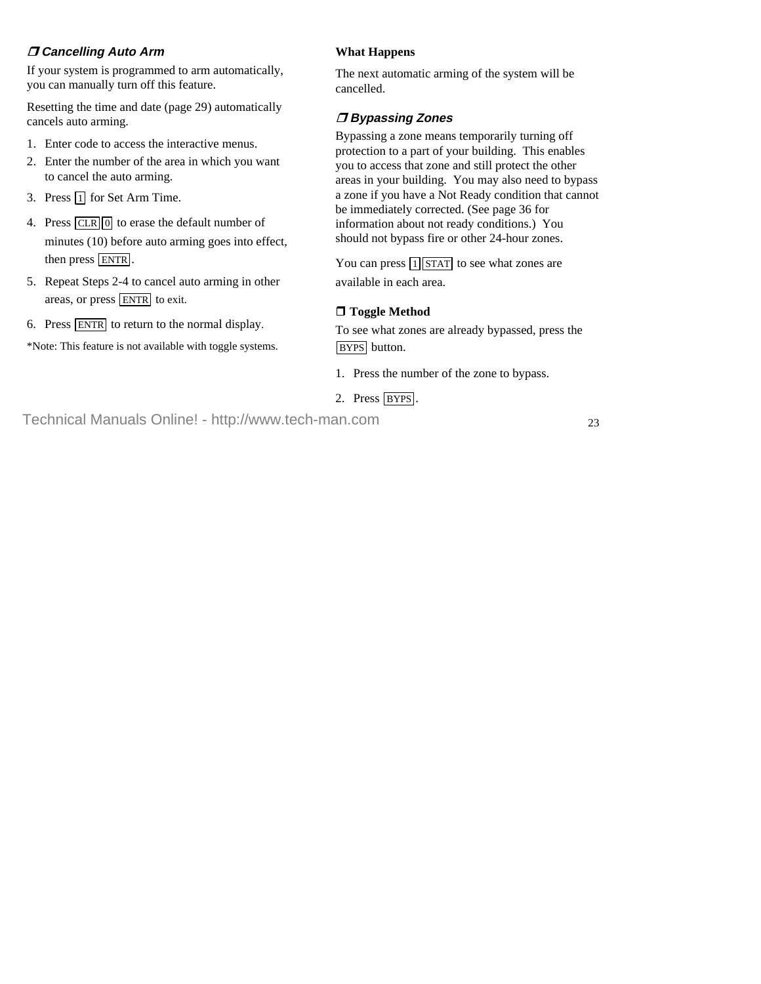### **Cancelling Auto Arm**

If your system is programmed to arm automatically, you can manually turn off this feature.

Resetting the time and date (page 29) automatically cancels auto arming.

- 1. Enter code to access the interactive menus.
- 2. Enter the number of the area in which you want to cancel the auto arming.
- 3. Press  $\boxed{1}$  for Set Arm Time.
- 4. Press  $\boxed{\text{CLR}}$  0 to erase the default number of minutes (10) before auto arming goes into effect, then press ENTR .
- 5. Repeat Steps 2-4 to cancel auto arming in other areas, or press  $\overline{\text{ENTER}}$  to exit.
- 6. Press ENTR to return to the normal display.

\*Note: This feature is not available with toggle systems.

### **What Happens**

The next automatic arming of the system will be cancelled.

# **Bypassing Zones**

Bypassing a zone means temporarily turning off protection to a part of your building. This enables you to access that zone and still protect the other areas in your building. You may also need to bypass a zone if you have a Not Ready condition that cannot be immediately corrected. (See page 36 for information about not ready conditions.) You should not bypass fire or other 24-hour zones.

You can press  $\boxed{1}$  STAT to see what zones are available in each area.

# **Toggle Method**

To see what zones are already bypassed, press the BYPS button.

- 1. Press the number of the zone to bypass.
- 2. Press BYPS.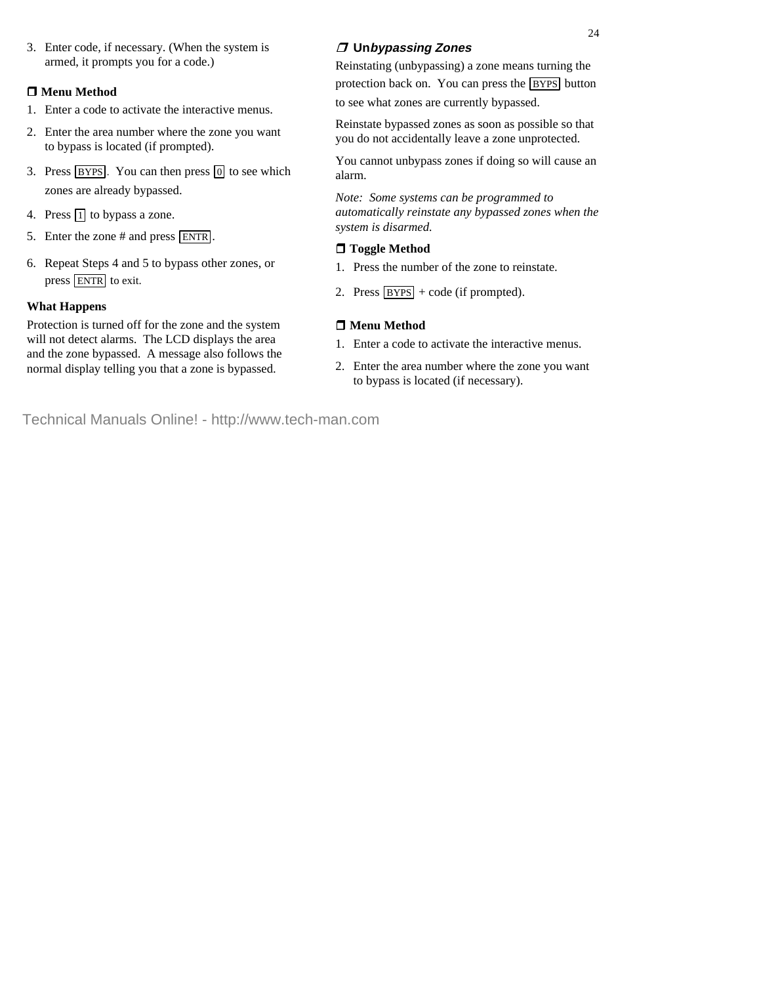3. Enter code, if necessary. (When the system is armed, it prompts you for a code.)

#### **Menu Method**

- 1. Enter a code to activate the interactive menus.
- 2. Enter the area number where the zone you want to bypass is located (if prompted).
- 3. Press  $BYPS$ . You can then press  $\boxed{0}$  to see which zones are already bypassed.
- 4. Press  $\boxed{1}$  to bypass a zone.
- 5. Enter the zone # and press ENTR .
- 6. Repeat Steps 4 and 5 to bypass other zones, or press ENTR to exit.

#### **What Happens**

Protection is turned off for the zone and the system will not detect alarms. The LCD displays the area and the zone bypassed. A message also follows the normal display telling you that a zone is bypassed.

# **Unbypassing Zones**

Reinstating (unbypassing) a zone means turning the protection back on. You can press the **BYPS** button to see what zones are currently bypassed.

Reinstate bypassed zones as soon as possible so that you do not accidentally leave a zone unprotected.

You cannot unbypass zones if doing so will cause an alarm.

*Note: Some systems can be programmed to automatically reinstate any bypassed zones when the system is disarmed.*

### **Toggle Method**

- 1. Press the number of the zone to reinstate.
- 2. Press  $BYPS$  + code (if prompted).

#### **Menu Method**

- 1. Enter a code to activate the interactive menus.
- 2. Enter the area number where the zone you want to bypass is located (if necessary).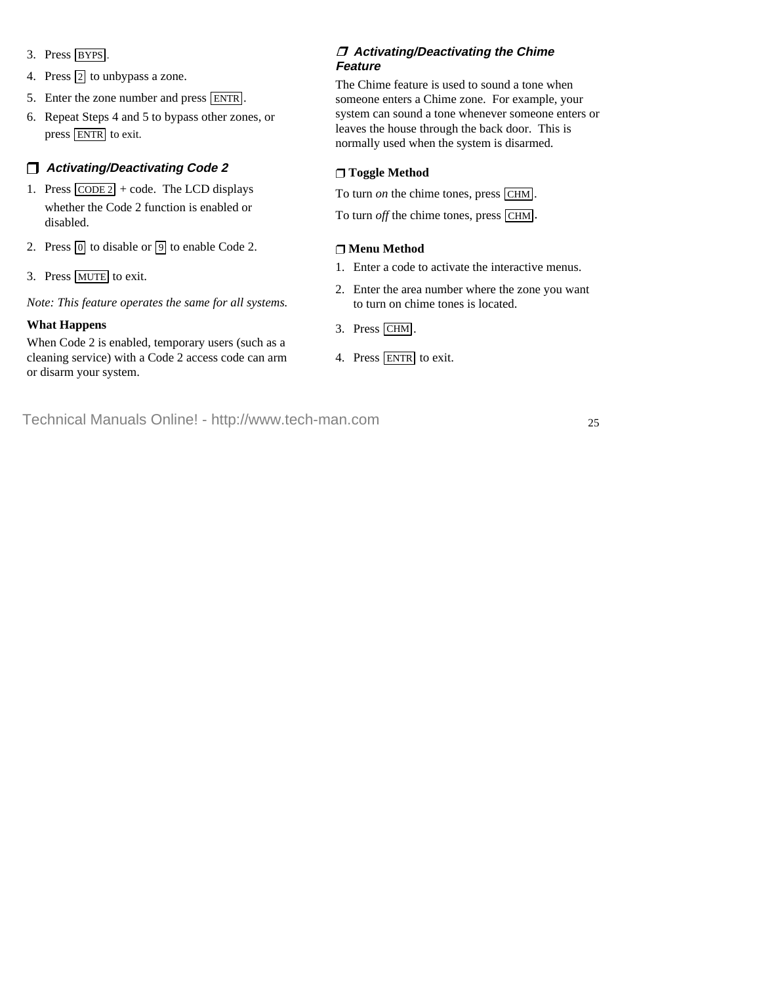- 3. Press BYPS.
- 4. Press  $\boxed{2}$  to unbypass a zone.
- 5. Enter the zone number and press ENTR.
- 6. Repeat Steps 4 and 5 to bypass other zones, or press ENTR to exit.

# U **Activating/Deactivating Code 2**

- 1. Press  $\overline{CODE 2}$  + code. The LCD displays whether the Code 2 function is enabled or disabled.
- 2. Press  $\boxed{0}$  to disable or  $\boxed{9}$  to enable Code 2.
- 3. Press MUTE to exit.

*Note: This feature operates the same for all systems.*

#### **What Happens**

When Code 2 is enabled, temporary users (such as a cleaning service) with a Code 2 access code can arm or disarm your system.

### **Activating/Deactivating the Chime Feature**

The Chime feature is used to sound a tone when someone enters a Chime zone. For example, your system can sound a tone whenever someone enters or leaves the house through the back door. This is normally used when the system is disarmed.

### U **Toggle Method**

To turn *on* the chime tones, press CHM.

To turn *off* the chime tones, press [CHM].

### U **Menu Method**

- 1. Enter a code to activate the interactive menus.
- 2. Enter the area number where the zone you want to turn on chime tones is located.
- 3. Press CHM .
- 4. Press ENTR to exit.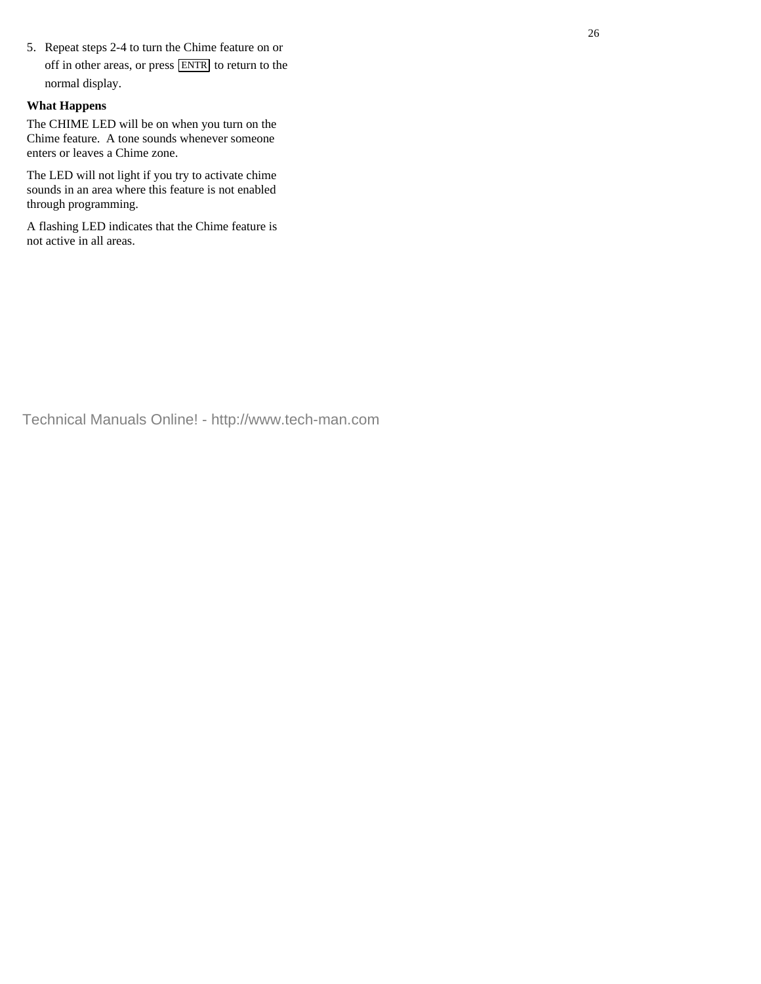5. Repeat steps 2-4 to turn the Chime feature on or off in other areas, or press  $\overline{\text{ENTR}}$  to return to the normal display.

#### **What Happens**

The CHIME LED will be on when you turn on the Chime feature. A tone sounds whenever someone enters or leaves a Chime zone.

The LED will not light if you try to activate chime sounds in an area where this feature is not enabled through programming.

A flashing LED indicates that the Chime feature is not active in all areas.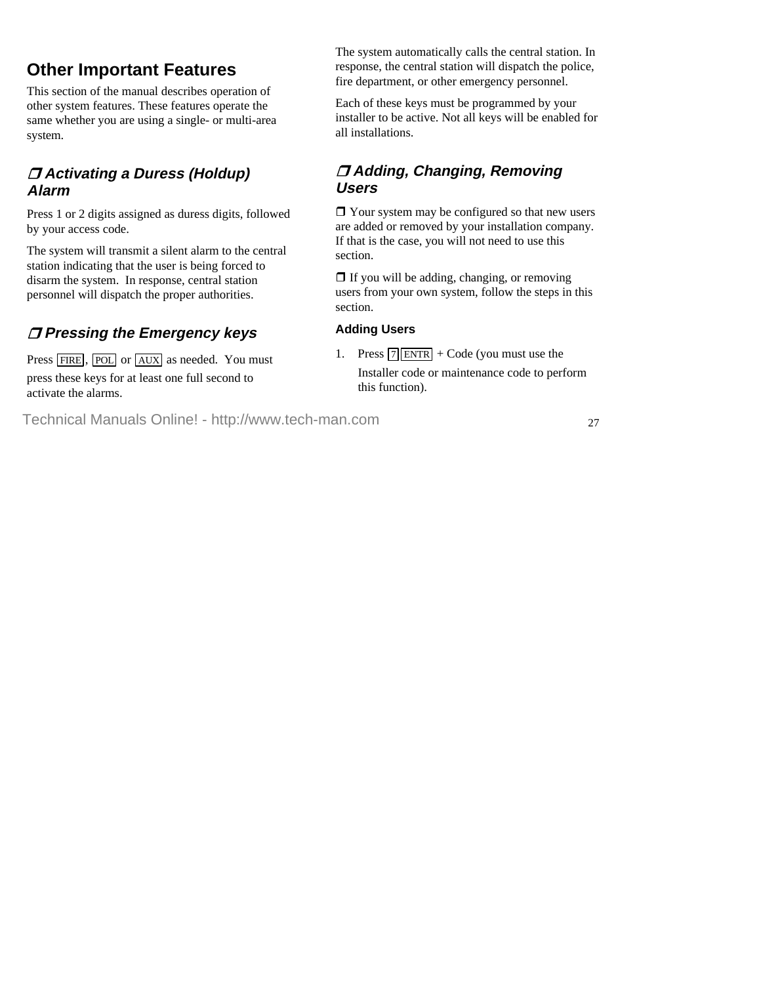# **Other Important Features**

This section of the manual describes operation of other system features. These features operate the same whether you are using a single- or multi-area system.

# **Activating a Duress (Holdup) Alarm**

Press 1 or 2 digits assigned as duress digits, followed by your access code.

The system will transmit a silent alarm to the central station indicating that the user is being forced to disarm the system. In response, central station personnel will dispatch the proper authorities.

# **Pressing the Emergency keys**

Press FIRE, POL or AUX as needed. You must press these keys for at least one full second to activate the alarms.

The system automatically calls the central station. In response, the central station will dispatch the police, fire department, or other emergency personnel.

Each of these keys must be programmed by your installer to be active. Not all keys will be enabled for all installations.

# **Adding, Changing, Removing Users**

 $\Box$  Your system may be configured so that new users are added or removed by your installation company. If that is the case, you will not need to use this section.

 $\Box$  If you will be adding, changing, or removing users from your own system, follow the steps in this section.

# **Adding Users**

1. Press  $\boxed{7}$  ENTR + Code (you must use the Installer code or maintenance code to perform this function).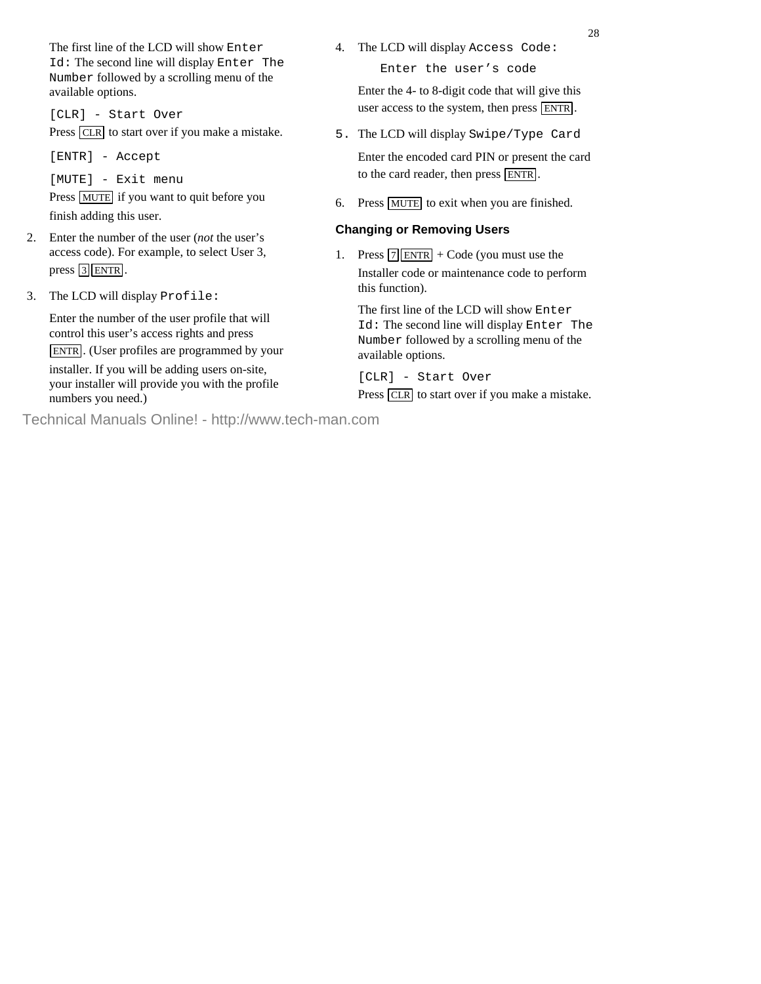The first line of the LCD will show Enter Id: The second line will display Enter The Number followed by a scrolling menu of the available options.

[CLR] - Start Over Press CLR to start over if you make a mistake.

[ENTR] - Accept

[MUTE] - Exit menu

Press MUTE if you want to quit before you finish adding this user.

- 2. Enter the number of the user (*not* the user's access code). For example, to select User 3, press  $\boxed{3}$  ENTR.
- 3. The LCD will display Profile:

 Enter the number of the user profile that will control this user's access rights and press ENTR . (User profiles are programmed by your

installer. If you will be adding users on-site, your installer will provide you with the profile numbers you need.)

- 4. The LCD will display Access Code: Enter the user's code Enter the 4- to 8-digit code that will give this user access to the system, then press ENTR .
- 5. The LCD will display Swipe/Type Card Enter the encoded card PIN or present the card to the card reader, then press **ENTR**.
- 6. Press MUTE to exit when you are finished.

# **Changing or Removing Users**

1. Press  $\boxed{7}$  ENTR + Code (you must use the Installer code or maintenance code to perform this function).

 The first line of the LCD will show Enter Id: The second line will display Enter The Number followed by a scrolling menu of the available options.

[CLR] - Start Over

Press CLR to start over if you make a mistake.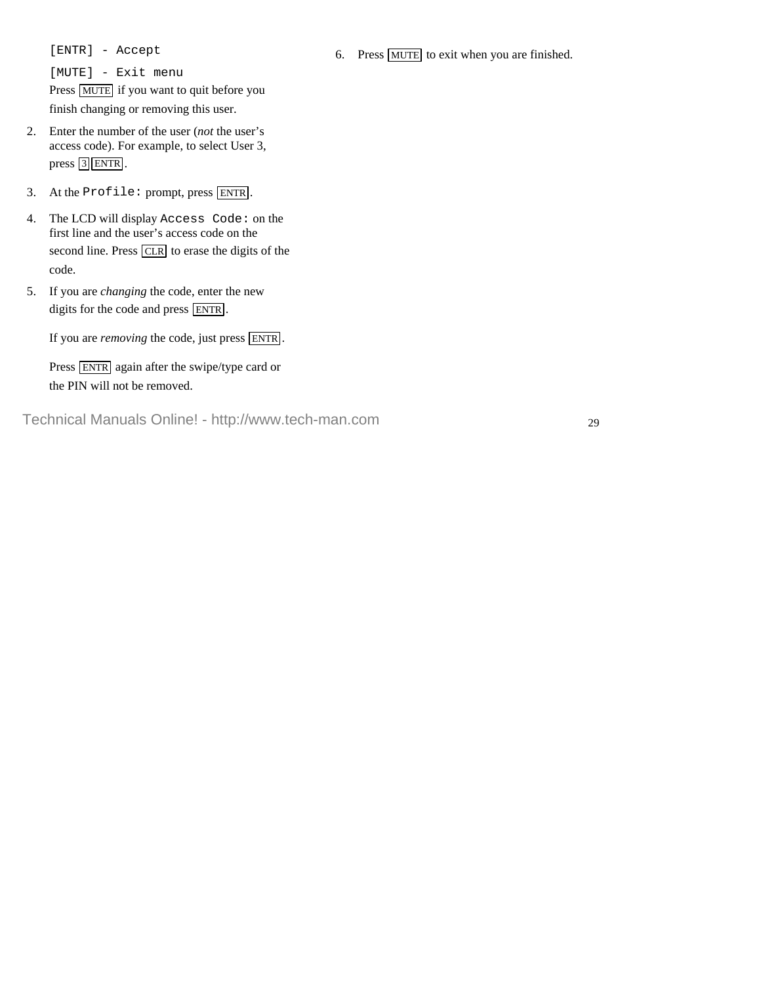[ENTR] - Accept

[MUTE] - Exit menu Press MUTE if you want to quit before you finish changing or removing this user.

- 2. Enter the number of the user (*not* the user's access code). For example, to select User 3, press  $\boxed{3}$  ENTR.
- 3. At the Profile: prompt, press ENTR .
- 4. The LCD will display Access Code: on the first line and the user's access code on the second line. Press  $\overline{CLR}$  to erase the digits of the code.
- 5. If you are *changing* the code, enter the new digits for the code and press **ENTR**.

If you are *removing* the code, just press **ENTR**.

Press ENTR again after the swipe/type card or the PIN will not be removed.

Technical Manuals Online! - http://www.tech-man.com

6. Press MUTE to exit when you are finished.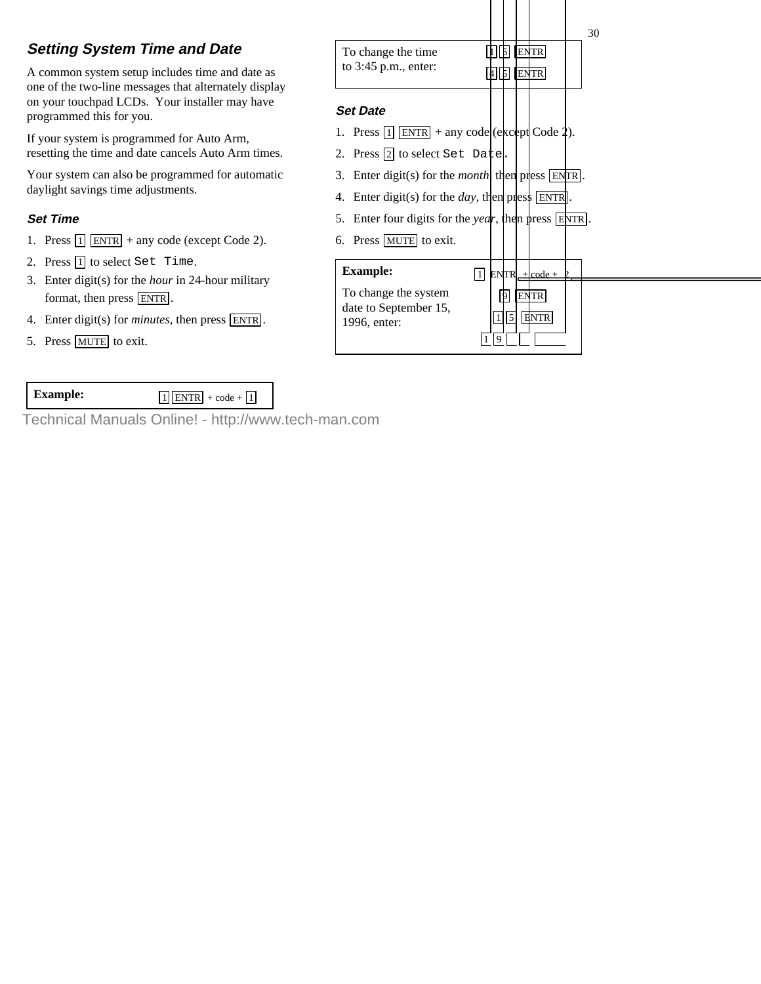# **Setting System Time and Date**

A common system setup includes time and date as one of the two-line messages that alternately display on your touchpad LCDs. Your installer may have programmed this for you.

If your system is programmed for Auto Arm, resetting the time and date cancels Auto Arm times.

Your system can also be programmed for automatic daylight savings time adjustments.

# **Set Time**

- 1. Press  $\boxed{1}$  ENTR + any code (except Code 2).
- 2. Press  $\boxed{1}$  to select Set Time.
- 3. Enter digit(s) for the *hour* in 24-hour military format, then press **ENTR**.
- 4. Enter digit(s) for *minutes*, then press ENTR .
- 5. Press MUTE to exit.



**Example:**  $\boxed{1|\text{ENTR}| + \text{code} + \boxed{1}}$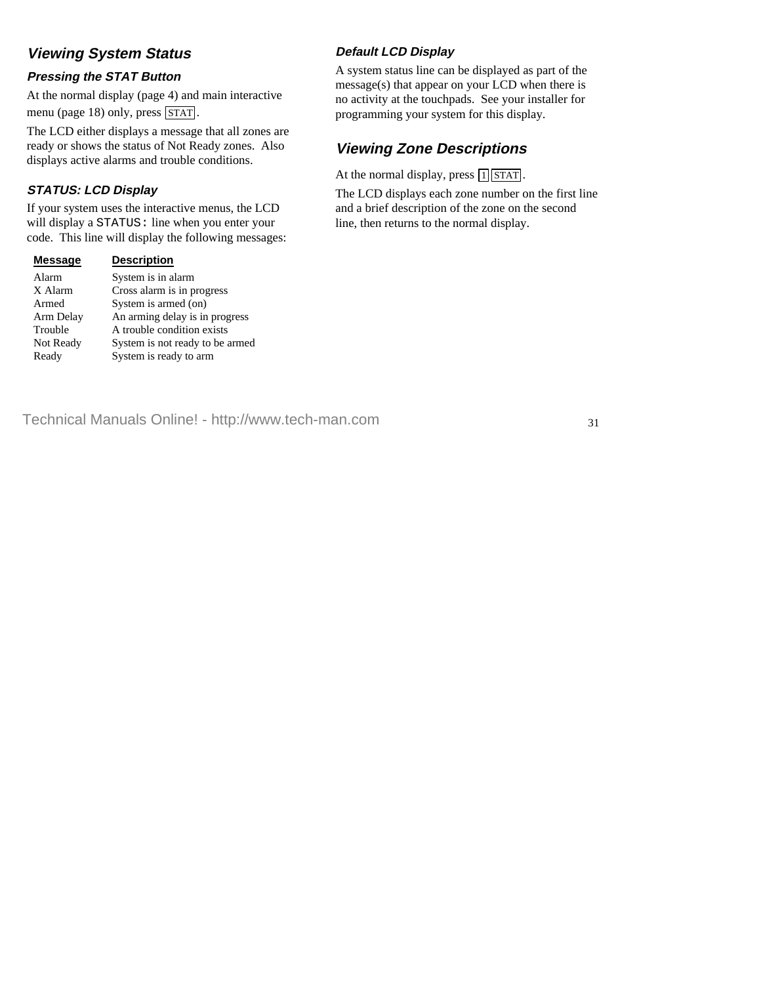# **Viewing System Status**

### **Pressing the STAT Button**

At the normal display (page 4) and main interactive menu (page 18) only, press  $\overline{\text{STAT}}$ .

The LCD either displays a message that all zones are ready or shows the status of Not Ready zones. Also displays active alarms and trouble conditions.

# **STATUS: LCD Display**

If your system uses the interactive menus, the LCD will display a STATUS: line when you enter your code. This line will display the following messages:

| <b>Message</b> | <b>Description</b>              |
|----------------|---------------------------------|
| Alarm          | System is in alarm              |
| X Alarm        | Cross alarm is in progress      |
| Armed          | System is armed (on)            |
| Arm Delay      | An arming delay is in progress  |
| Trouble        | A trouble condition exists      |
| Not Ready      | System is not ready to be armed |
| Ready          | System is ready to arm          |
|                |                                 |

# **Default LCD Display**

A system status line can be displayed as part of the message(s) that appear on your LCD when there is no activity at the touchpads. See your installer for programming your system for this display.

# **Viewing Zone Descriptions**

At the normal display, press  $\lceil 1 \rceil$  STAT.

The LCD displays each zone number on the first line and a brief description of the zone on the second line, then returns to the normal display.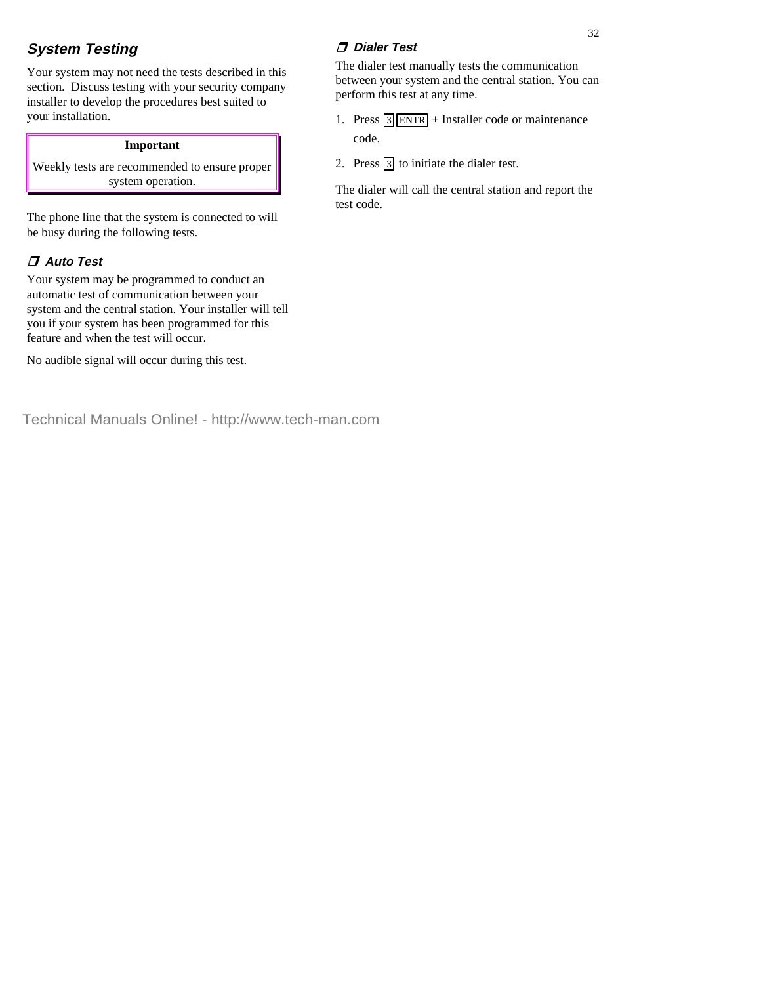# **System Testing**

Your system may not need the tests described in this section. Discuss testing with your security company installer to develop the procedures best suited to your installation.

#### **Important**

Weekly tests are recommended to ensure proper system operation.

The phone line that the system is connected to will be busy during the following tests.

# **Auto Test**

Your system may be programmed to conduct an automatic test of communication between your system and the central station. Your installer will tell you if your system has been programmed for this feature and when the test will occur.

No audible signal will occur during this test.

The dialer test manually tests the communication between your system and the central station. You can perform this test at any time.

- 1. Press  $\boxed{3}$  ENTR + Installer code or maintenance code.
- 2. Press  $\boxed{3}$  to initiate the dialer test.

The dialer will call the central station and report the test code.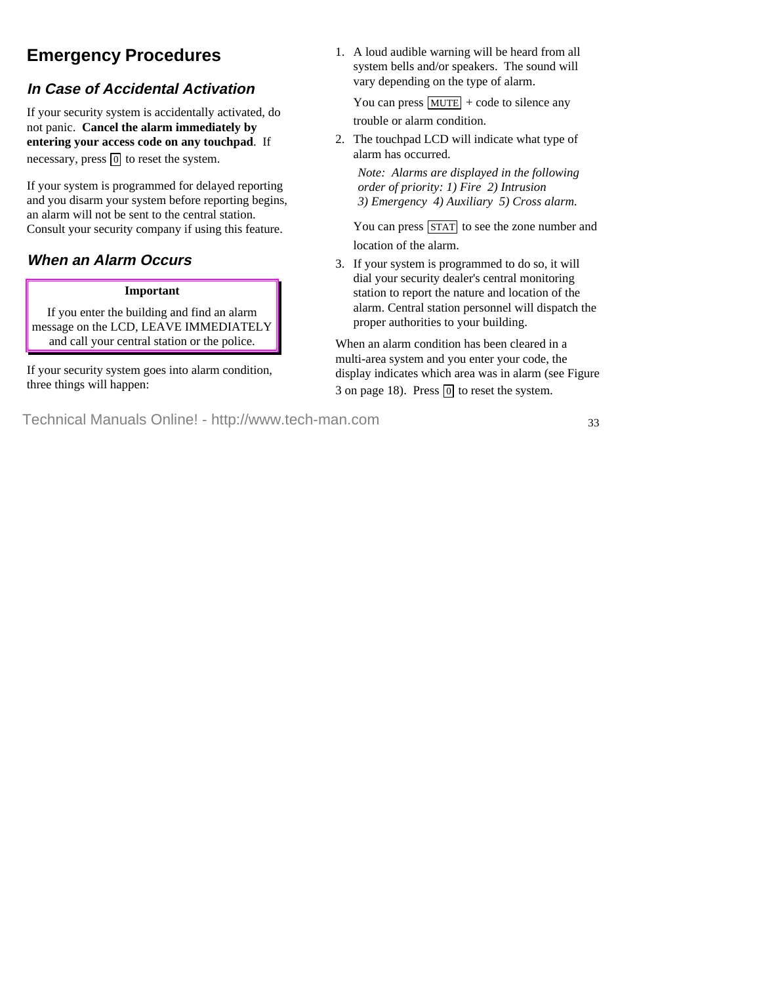# **Emergency Procedures**

# **In Case of Accidental Activation**

If your security system is accidentally activated, do not panic. **Cancel the alarm immediately by entering your access code on any touchpad**. If necessary, press  $\boxed{0}$  to reset the system.

If your system is programmed for delayed reporting and you disarm your system before reporting begins, an alarm will not be sent to the central station. Consult your security company if using this feature.

# **When an Alarm Occurs**

#### **Important**

If you enter the building and find an alarm message on the LCD, LEAVE IMMEDIATELY and call your central station or the police.

If your security system goes into alarm condition, three things will happen:

1. A loud audible warning will be heard from all system bells and/or speakers. The sound will vary depending on the type of alarm.

You can press  $MUTE$  + code to silence any trouble or alarm condition.

2. The touchpad LCD will indicate what type of alarm has occurred.

*Note: Alarms are displayed in the following order of priority: 1) Fire 2) Intrusion 3) Emergency 4) Auxiliary 5) Cross alarm.*

You can press  $STAT$  to see the zone number and location of the alarm.

3. If your system is programmed to do so, it will dial your security dealer's central monitoring station to report the nature and location of the alarm. Central station personnel will dispatch the proper authorities to your building.

When an alarm condition has been cleared in a multi-area system and you enter your code, the display indicates which area was in alarm (see Figure 3 on page 18). Press  $\boxed{0}$  to reset the system.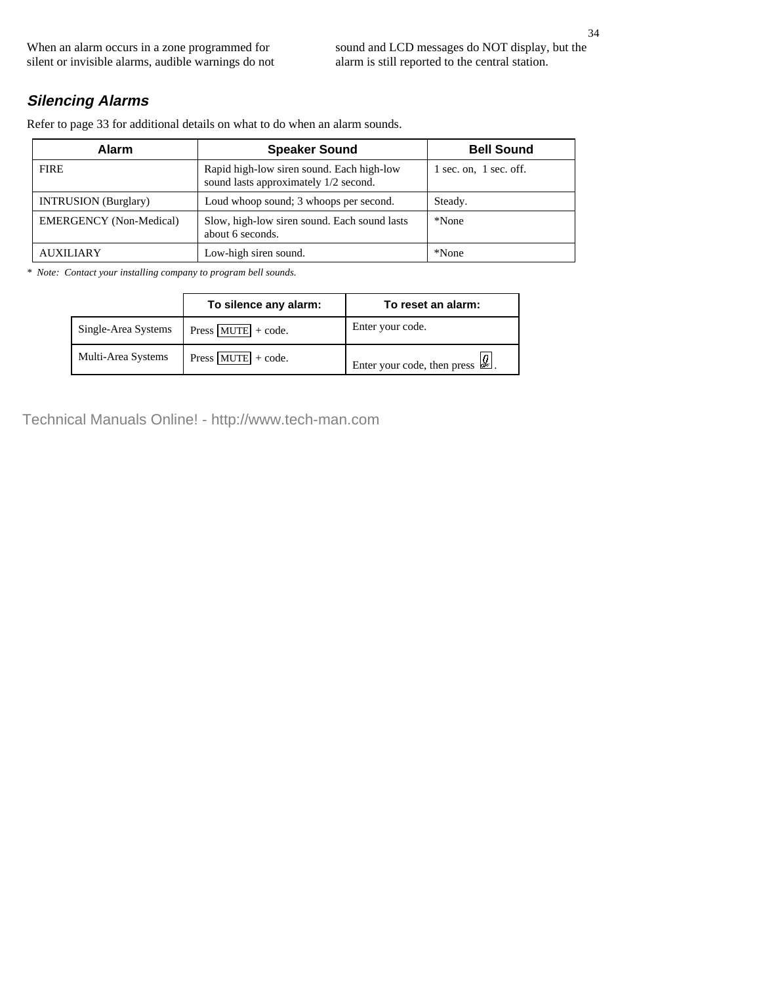When an alarm occurs in a zone programmed for silent or invisible alarms, audible warnings do not sound and LCD messages do NOT display, but the alarm is still reported to the central station.

# **Silencing Alarms**

Refer to page 33 for additional details on what to do when an alarm sounds.

| <b>Alarm</b>                   | <b>Speaker Sound</b>                                                               | <b>Bell Sound</b>          |
|--------------------------------|------------------------------------------------------------------------------------|----------------------------|
| <b>FIRE</b>                    | Rapid high-low siren sound. Each high-low<br>sound lasts approximately 1/2 second. | $1$ sec. on, $1$ sec. off. |
| <b>INTRUSION</b> (Burglary)    | Loud whoop sound; 3 whoops per second.                                             | Steady.                    |
| <b>EMERGENCY</b> (Non-Medical) | Slow, high-low siren sound. Each sound lasts<br>about 6 seconds.                   | *None                      |
| AUXILIARY                      | Low-high siren sound.                                                              | *None                      |

*\* Note: Contact your installing company to program bell sounds.*

|                     | To silence any alarm: | To reset an alarm:                                                        |
|---------------------|-----------------------|---------------------------------------------------------------------------|
| Single-Area Systems | Press $MUTE + code$ . | Enter your code.                                                          |
| Multi-Area Systems  | Press $MUTE$ + code.  | Enter your code, then press $\left  \mathcal{Q}_{\mathbb{F}_p} \right $ . |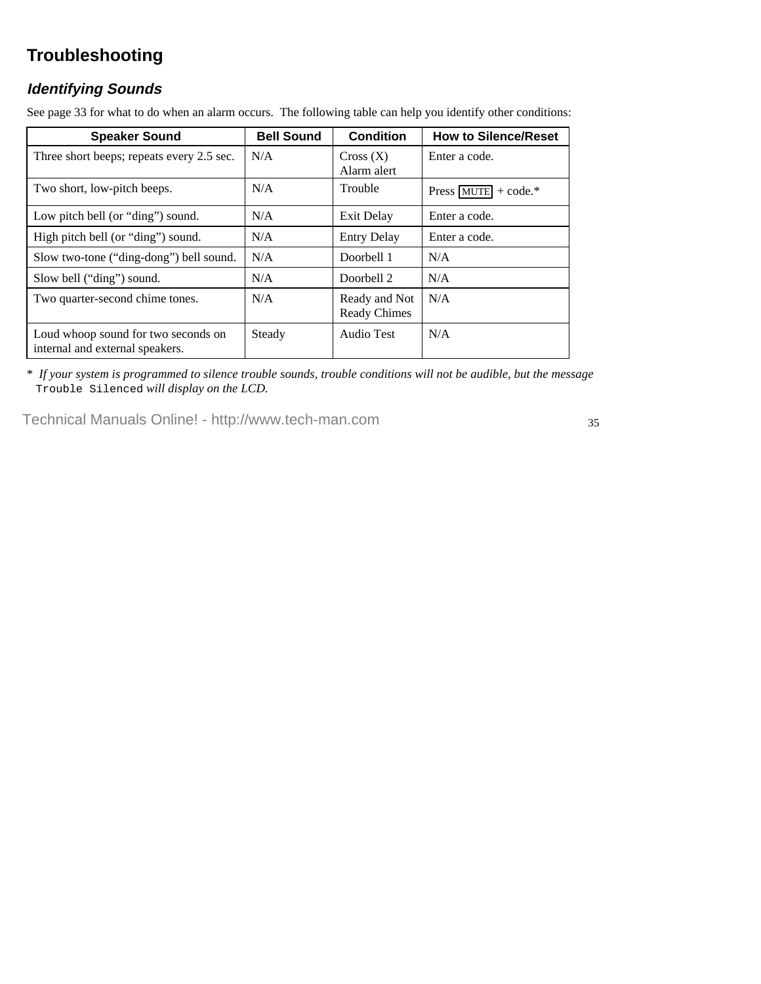# **Troubleshooting**

# **Identifying Sounds**

See page 33 for what to do when an alarm occurs. The following table can help you identify other conditions:

| <b>Speaker Sound</b>                                                   | <b>Bell Sound</b> | <b>Condition</b>                     | <b>How to Silence/Reset</b>           |
|------------------------------------------------------------------------|-------------------|--------------------------------------|---------------------------------------|
| Three short beeps; repeats every 2.5 sec.                              | N/A               | Cross(X)<br>Alarm alert              | Enter a code.                         |
| Two short, low-pitch beeps.                                            | N/A               | <b>Trouble</b>                       | Press $ \text{MUTE}  + \text{code.*}$ |
| Low pitch bell (or "ding") sound.                                      | N/A               | Exit Delay                           | Enter a code.                         |
| High pitch bell (or "ding") sound.                                     | N/A               | <b>Entry Delay</b>                   | Enter a code.                         |
| Slow two-tone ("ding-dong") bell sound.                                | N/A               | Doorbell 1                           | N/A                                   |
| Slow bell ("ding") sound.                                              | N/A               | Doorbell 2                           | N/A                                   |
| Two quarter-second chime tones.                                        | N/A               | Ready and Not<br><b>Ready Chimes</b> | N/A                                   |
| Loud whoop sound for two seconds on<br>internal and external speakers. | Steady            | Audio Test                           | N/A                                   |

\* *If your system is programmed to silence trouble sounds, trouble conditions will not be audible, but the message* Trouble Silenced *will display on the LCD.*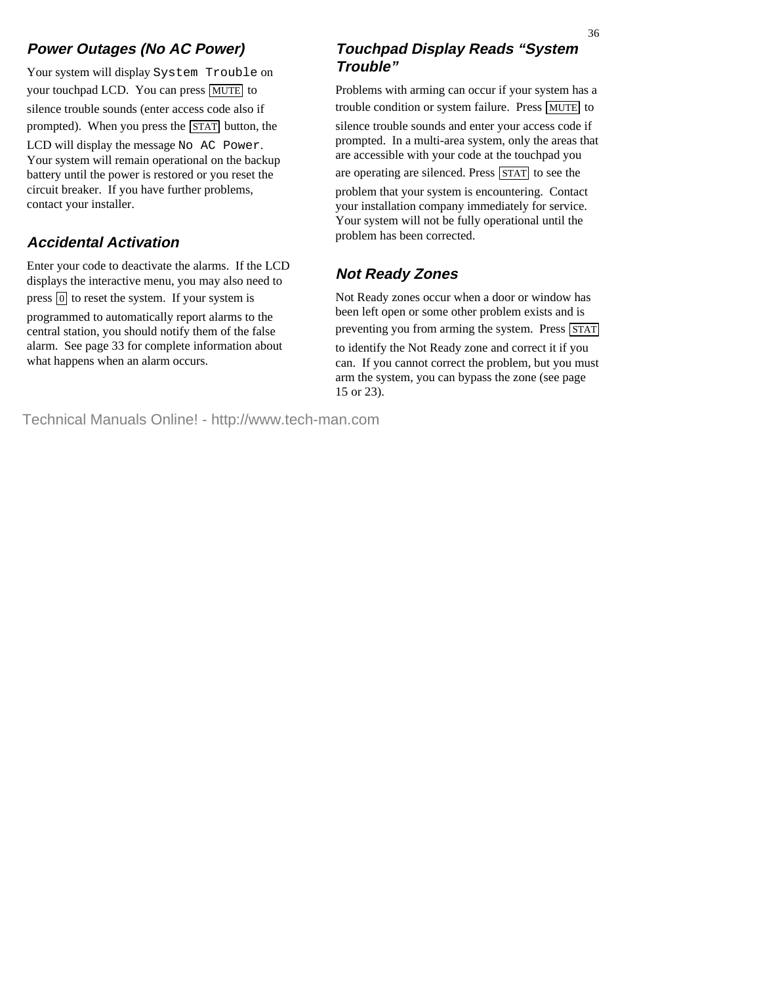# **Power Outages (No AC Power)**

Your system will display System Trouble on your touchpad LCD. You can press MUTE to silence trouble sounds (enter access code also if prompted). When you press the STAT button, the LCD will display the message No AC Power. Your system will remain operational on the backup battery until the power is restored or you reset the circuit breaker. If you have further problems, contact your installer.

# **Accidental Activation**

Enter your code to deactivate the alarms. If the LCD displays the interactive menu, you may also need to press  $\boxed{0}$  to reset the system. If your system is programmed to automatically report alarms to the central station, you should notify them of the false alarm. See page 33 for complete information about what happens when an alarm occurs.

# **Touchpad Display Reads "System Trouble"**

Problems with arming can occur if your system has a trouble condition or system failure. Press MUTE to silence trouble sounds and enter your access code if prompted. In a multi-area system, only the areas that are accessible with your code at the touchpad you are operating are silenced. Press  $STAT$  to see the problem that your system is encountering. Contact your installation company immediately for service. Your system will not be fully operational until the problem has been corrected.

# **Not Ready Zones**

Not Ready zones occur when a door or window has been left open or some other problem exists and is preventing you from arming the system. Press STAT to identify the Not Ready zone and correct it if you can. If you cannot correct the problem, but you must arm the system, you can bypass the zone (see page 15 or 23).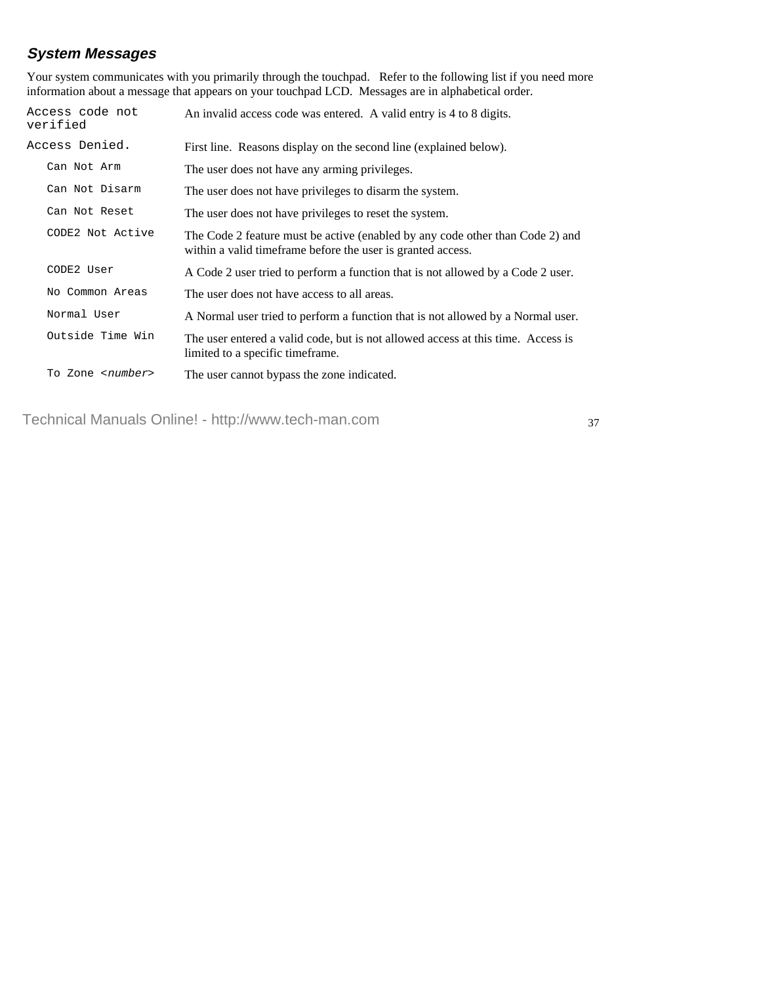# **System Messages**

Your system communicates with you primarily through the touchpad. Refer to the following list if you need more information about a message that appears on your touchpad LCD. Messages are in alphabetical order.

| Access code not<br>verified | An invalid access code was entered. A valid entry is 4 to 8 digits.                                                                           |
|-----------------------------|-----------------------------------------------------------------------------------------------------------------------------------------------|
| Access Denied.              | First line. Reasons display on the second line (explained below).                                                                             |
| Can Not Arm                 | The user does not have any arming privileges.                                                                                                 |
| Can Not Disarm              | The user does not have privileges to disarm the system.                                                                                       |
| Can Not Reset               | The user does not have privileges to reset the system.                                                                                        |
| CODE2 Not Active            | The Code 2 feature must be active (enabled by any code other than Code 2) and<br>within a valid time frame before the user is granted access. |
| CODE2 User                  | A Code 2 user tried to perform a function that is not allowed by a Code 2 user.                                                               |
| No Common Areas             | The user does not have access to all areas.                                                                                                   |
| Normal User                 | A Normal user tried to perform a function that is not allowed by a Normal user.                                                               |
| Outside Time Win            | The user entered a valid code, but is not allowed access at this time. Access is<br>limited to a specific timeframe.                          |
| To Zone <number></number>   | The user cannot bypass the zone indicated.                                                                                                    |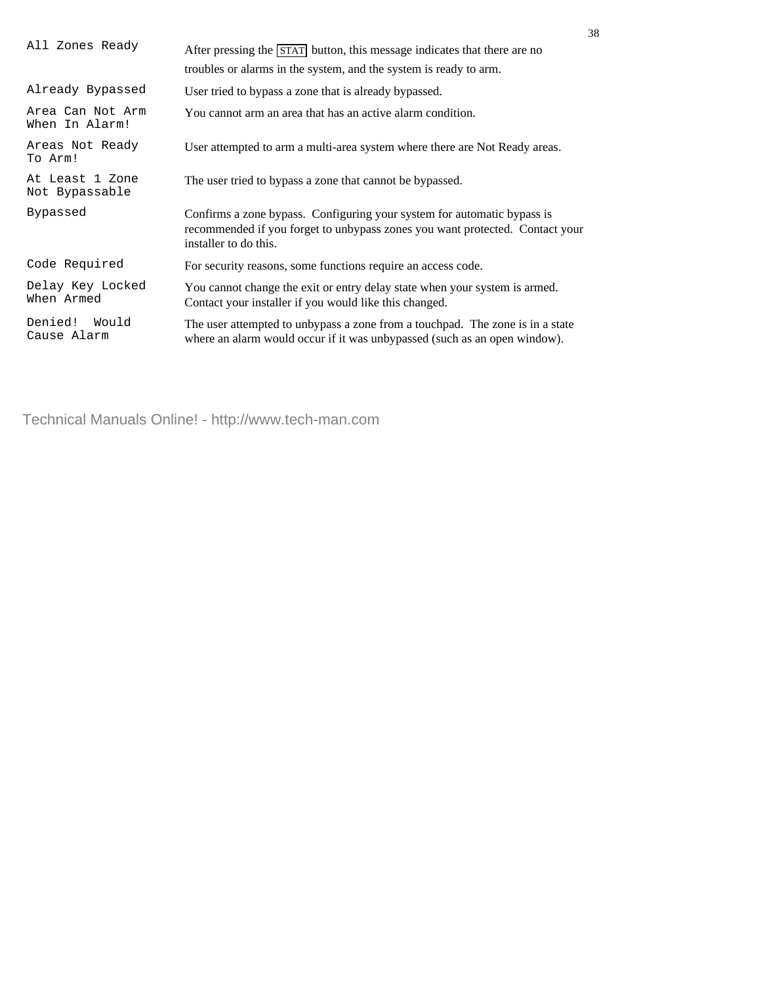| After pressing the STAT button, this message indicates that there are no<br>troubles or alarms in the system, and the system is ready to arm.                                    |
|----------------------------------------------------------------------------------------------------------------------------------------------------------------------------------|
| User tried to bypass a zone that is already bypassed.                                                                                                                            |
| You cannot arm an area that has an active alarm condition.                                                                                                                       |
| User attempted to arm a multi-area system where there are Not Ready areas.                                                                                                       |
| The user tried to bypass a zone that cannot be bypassed.                                                                                                                         |
| Confirms a zone bypass. Configuring your system for automatic bypass is<br>recommended if you forget to unbypass zones you want protected. Contact your<br>installer to do this. |
| For security reasons, some functions require an access code.                                                                                                                     |
| You cannot change the exit or entry delay state when your system is armed.<br>Contact your installer if you would like this changed.                                             |
| The user attempted to unbypass a zone from a touchpad. The zone is in a state<br>where an alarm would occur if it was unbypassed (such as an open window).                       |
|                                                                                                                                                                                  |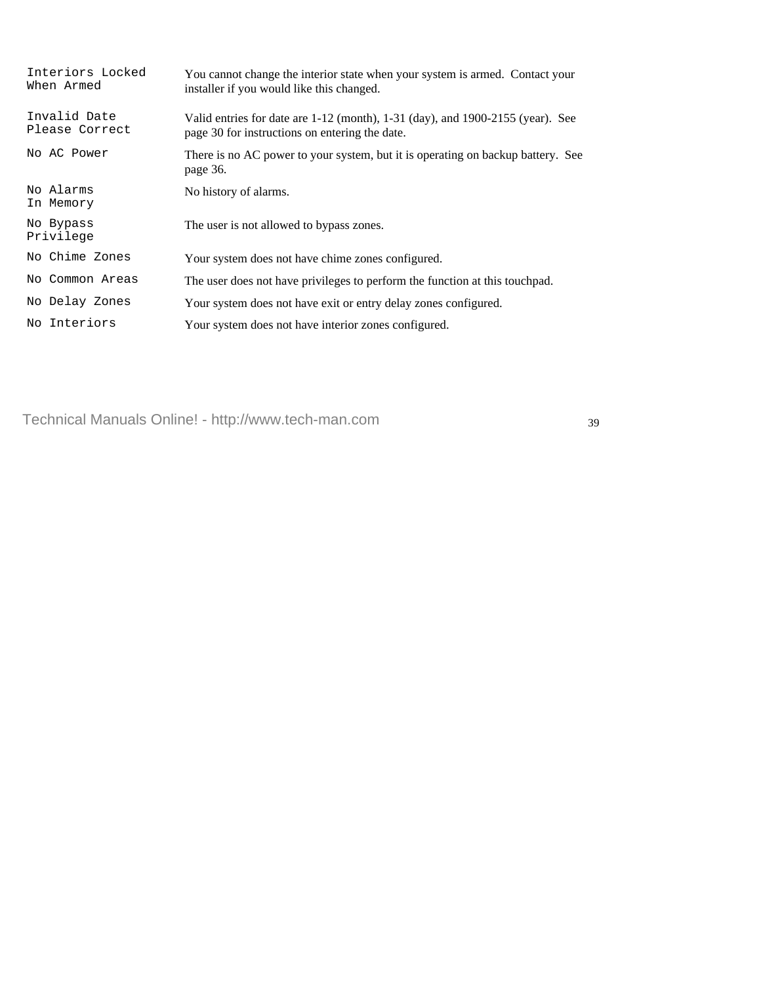| Interiors Locked<br>When Armed | You cannot change the interior state when your system is armed. Contact your<br>installer if you would like this changed.        |
|--------------------------------|----------------------------------------------------------------------------------------------------------------------------------|
| Invalid Date<br>Please Correct | Valid entries for date are 1-12 (month), 1-31 (day), and 1900-2155 (year). See<br>page 30 for instructions on entering the date. |
| No AC Power                    | There is no AC power to your system, but it is operating on backup battery. See<br>page 36.                                      |
| No Alarms<br>In Memory         | No history of alarms.                                                                                                            |
| No Bypass<br>Privilege         | The user is not allowed to bypass zones.                                                                                         |
| No Chime Zones                 | Your system does not have chime zones configured.                                                                                |
| No Common Areas                | The user does not have privileges to perform the function at this touch pad.                                                     |
| No Delay Zones                 | Your system does not have exit or entry delay zones configured.                                                                  |
| No Interiors                   | Your system does not have interior zones configured.                                                                             |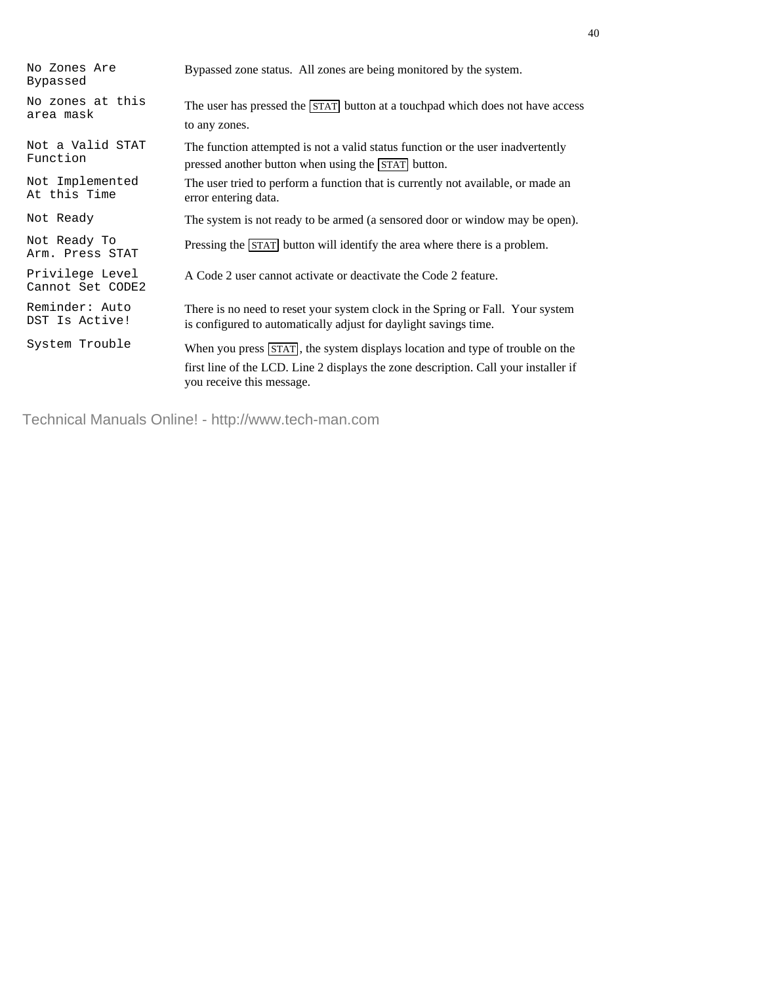40

No Zones Are Bypassed

No zones at this

Not a Valid STAT Function

Not Implemented At this Time

Not Ready To

Privilege Level Cannot Set CODE2

Reminder: Auto DST Is Active!

Bypassed zone status. All zones are being monitored by the system.

NO ZONES AT The user has pressed the STAT button at a touchpad which does not have access area mask to any zones.

> The function attempted is not a valid status function or the user inadvertently pressed another button when using the STAT button.

The user tried to perform a function that is currently not available, or made an error entering data.

Not Ready The system is not ready to be armed (a sensored door or window may be open).

NOT Ready TO<br>Arm. Press STAT Pressing the STAT button will identify the area where there is a problem.

A Code 2 user cannot activate or deactivate the Code 2 feature.

There is no need to reset your system clock in the Spring or Fall. Your system is configured to automatically adjust for daylight savings time.

System Trouble When you press  $\overline{\text{STAT}}$ , the system displays location and type of trouble on the first line of the LCD. Line 2 displays the zone description. Call your installer if you receive this message.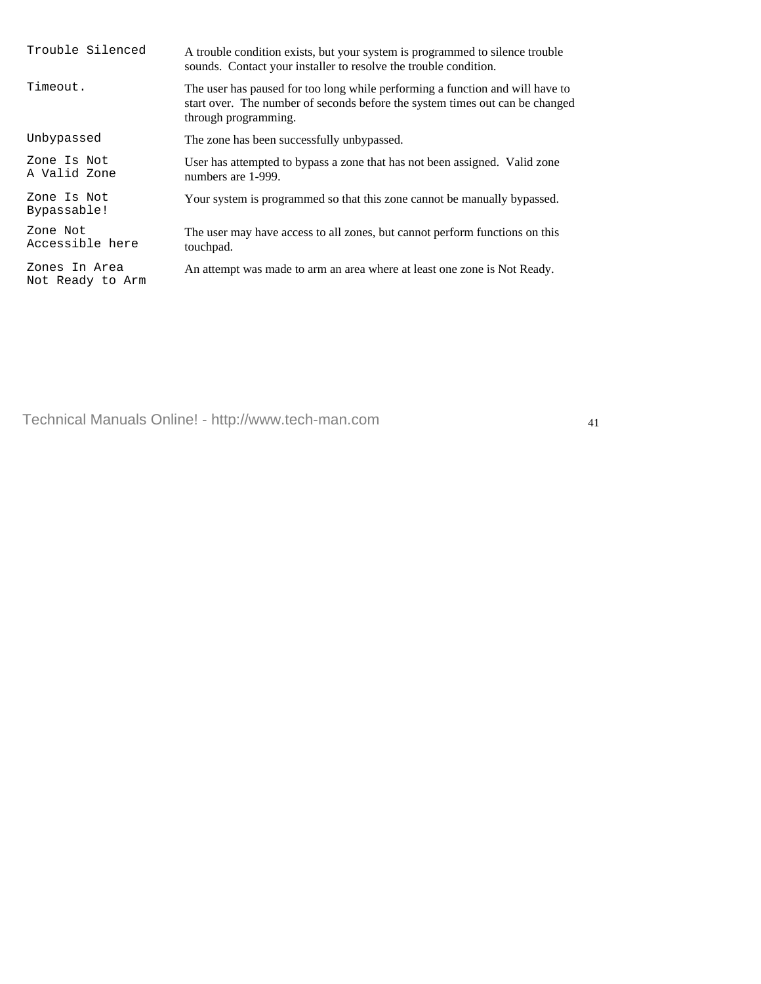| Trouble Silenced                  | A trouble condition exists, but your system is programmed to silence trouble<br>sounds. Contact your installer to resolve the trouble condition.                                      |
|-----------------------------------|---------------------------------------------------------------------------------------------------------------------------------------------------------------------------------------|
| Timeout.                          | The user has paused for too long while performing a function and will have to<br>start over. The number of seconds before the system times out can be changed<br>through programming. |
| Unbypassed                        | The zone has been successfully unbypassed.                                                                                                                                            |
| Zone Is Not<br>A Valid Zone       | User has attempted to bypass a zone that has not been assigned. Valid zone<br>numbers are 1-999.                                                                                      |
| Zone Is Not<br>Bypassable!        | Your system is programmed so that this zone cannot be manually bypassed.                                                                                                              |
| Zone Not<br>Accessible here       | The user may have access to all zones, but cannot perform functions on this<br>touchpad.                                                                                              |
| Zones In Area<br>Not Ready to Arm | An attempt was made to arm an area where at least one zone is Not Ready.                                                                                                              |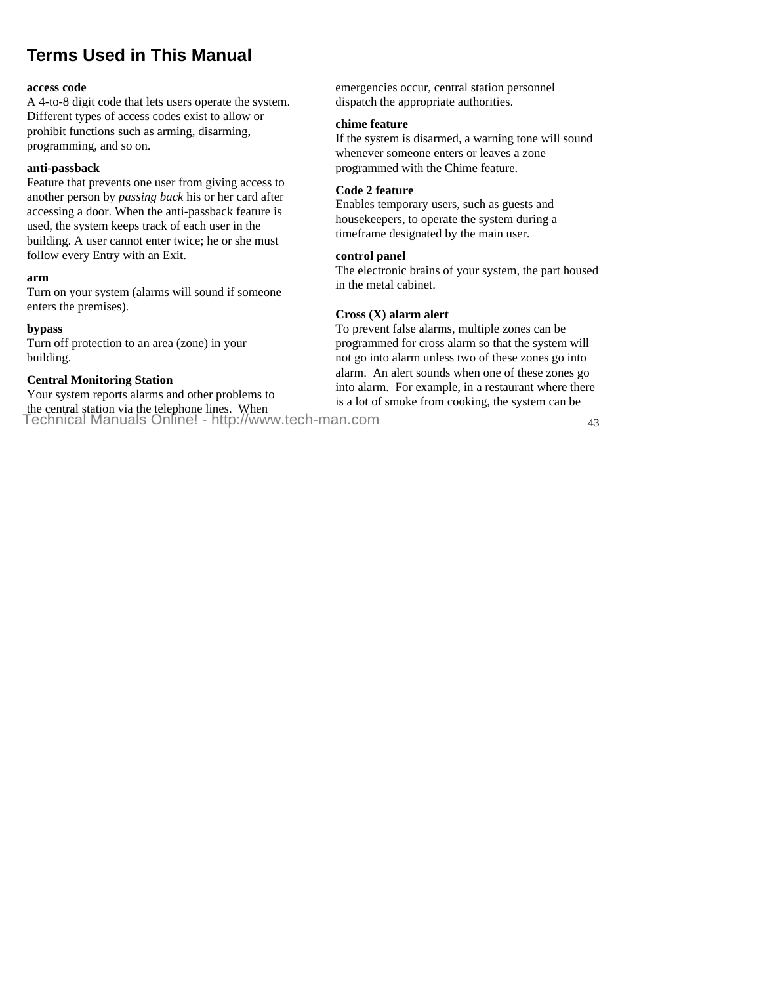# **Terms Used in This Manual**

#### **access code**

A 4-to-8 digit code that lets users operate the system. Different types of access codes exist to allow or prohibit functions such as arming, disarming, programming, and so on.

#### **anti-passback**

Feature that prevents one user from giving access to another person by *passing back* his or her card after accessing a door. When the anti-passback feature is used, the system keeps track of each user in the building. A user cannot enter twice; he or she must follow every Entry with an Exit.

#### **arm**

Turn on your system (alarms will sound if someone enters the premises).

#### **bypass**

Turn off protection to an area (zone) in your building.

### **Central Monitoring Station**

Your system reports alarms and other problems to the central station via the telephone lines. When Technical Manuals Online! - http://www.tech-man.com

emergencies occur, central station personnel dispatch the appropriate authorities.

#### **chime feature**

If the system is disarmed, a warning tone will sound whenever someone enters or leaves a zone programmed with the Chime feature.

#### **Code 2 feature**

Enables temporary users, such as guests and housekeepers, to operate the system during a timeframe designated by the main user.

#### **control panel**

The electronic brains of your system, the part housed in the metal cabinet.

#### **Cross (X) alarm alert**

To prevent false alarms, multiple zones can be programmed for cross alarm so that the system will not go into alarm unless two of these zones go into alarm. An alert sounds when one of these zones go into alarm. For example, in a restaurant where there is a lot of smoke from cooking, the system can be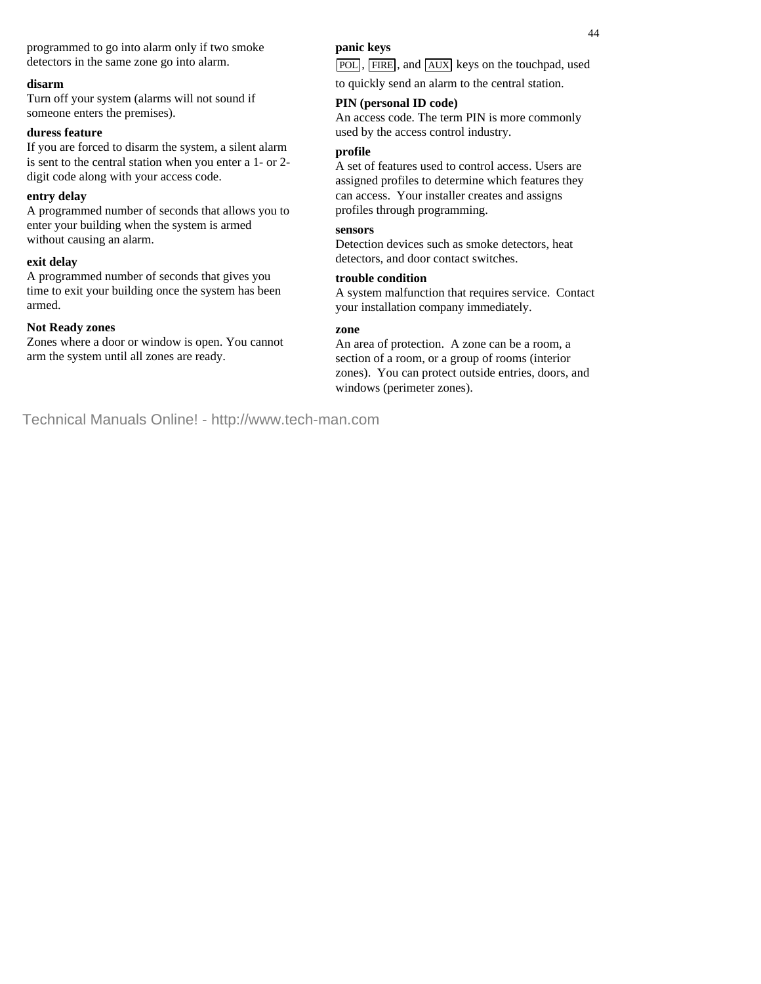programmed to go into alarm only if two smoke detectors in the same zone go into alarm.

#### **disarm**

Turn off your system (alarms will not sound if someone enters the premises).

#### **duress feature**

If you are forced to disarm the system, a silent alarm is sent to the central station when you enter a 1- or 2 digit code along with your access code.

#### **entry delay**

A programmed number of seconds that allows you to enter your building when the system is armed without causing an alarm.

#### **exit delay**

A programmed number of seconds that gives you time to exit your building once the system has been armed.

#### **Not Ready zones**

Zones where a door or window is open. You cannot arm the system until all zones are ready.

#### **panic keys**

POL, FIRE, and AUX keys on the touchpad, used to quickly send an alarm to the central station.

#### **PIN (personal ID code)**

An access code. The term PIN is more commonly used by the access control industry.

#### **profile**

A set of features used to control access. Users are assigned profiles to determine which features they can access. Your installer creates and assigns profiles through programming.

#### **sensors**

Detection devices such as smoke detectors, heat detectors, and door contact switches.

#### **trouble condition**

A system malfunction that requires service. Contact your installation company immediately.

#### **zone**

An area of protection. A zone can be a room, a section of a room, or a group of rooms (interior zones). You can protect outside entries, doors, and windows (perimeter zones).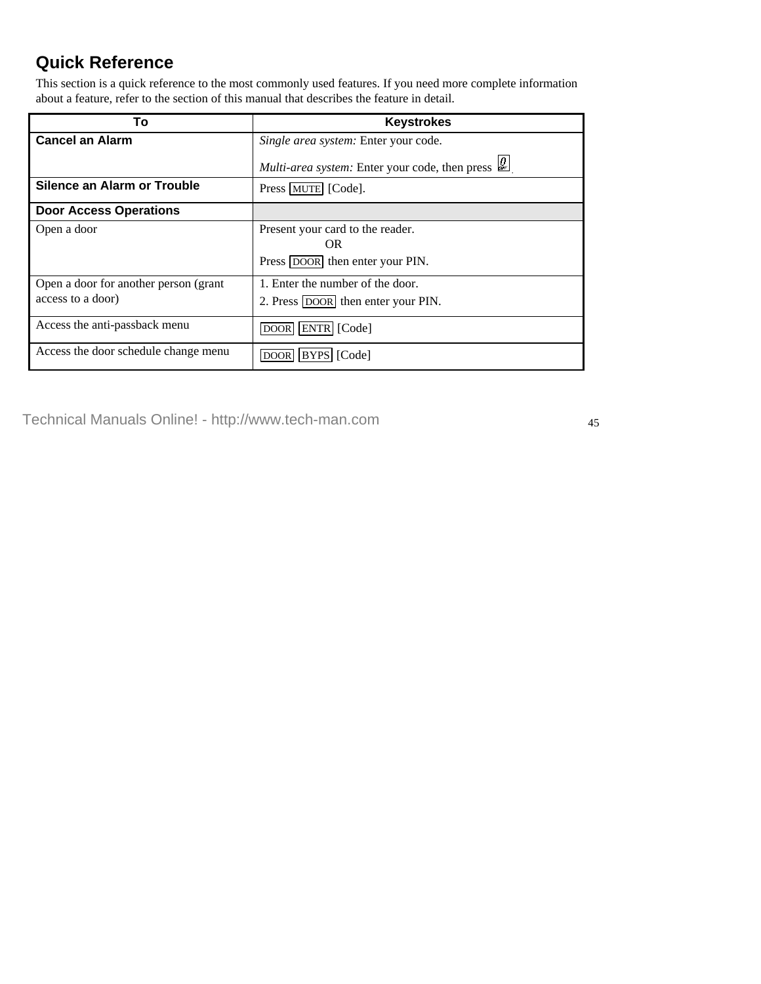# **Quick Reference**

This section is a quick reference to the most commonly used features. If you need more complete information about a feature, refer to the section of this manual that describes the feature in detail.

| То                                    | <b>Keystrokes</b>                                                                                             |
|---------------------------------------|---------------------------------------------------------------------------------------------------------------|
| <b>Cancel an Alarm</b>                | Single area system: Enter your code.                                                                          |
|                                       | <i>Multi-area system:</i> Enter your code, then press $\left \frac{\boldsymbol{\theta}}{g_n}\right $          |
| Silence an Alarm or Trouble           | Press   MUTE   [Code].                                                                                        |
| <b>Door Access Operations</b>         |                                                                                                               |
| Open a door                           | Present your card to the reader.<br>$\longrightarrow$ OR $\longrightarrow$<br>Press DOOR then enter your PIN. |
| Open a door for another person (grant | 1. Enter the number of the door.                                                                              |
| access to a door)                     | 2. Press DOOR then enter your PIN.                                                                            |
| Access the anti-passback menu         | DOOR ENTR [Code]                                                                                              |
| Access the door schedule change menu  | BYPS [Code]<br><b>DOOR</b>                                                                                    |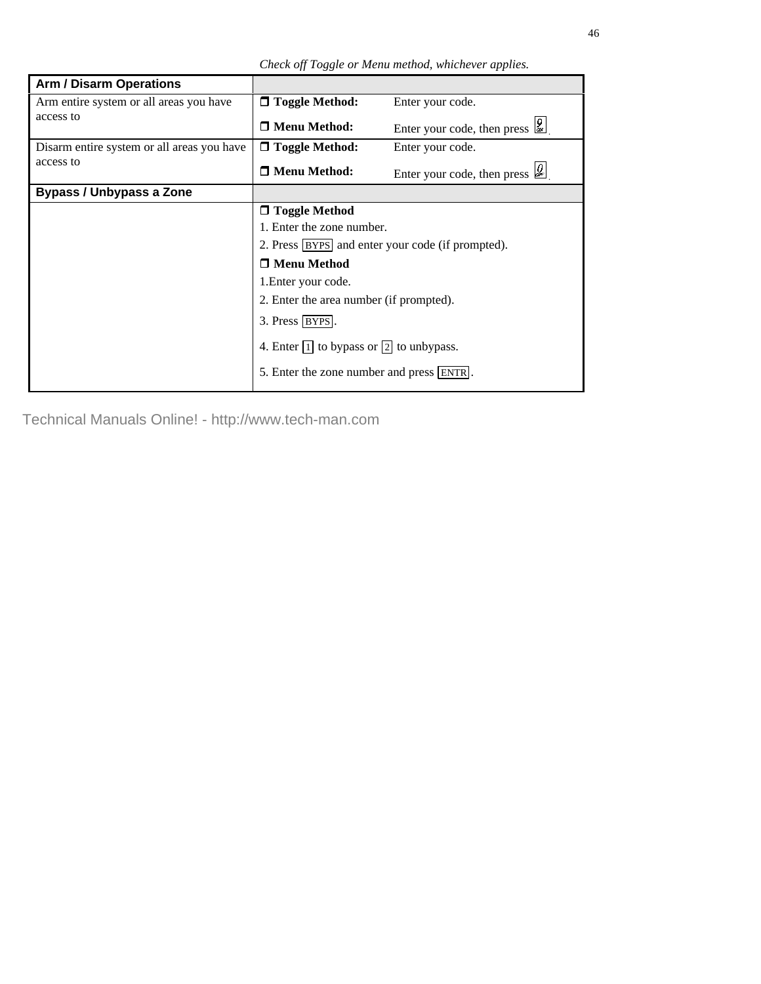*Check off Toggle or Menu method, whichever applies.*

| <b>Arm / Disarm Operations</b>                       |                                                            |                                                                                       |
|------------------------------------------------------|------------------------------------------------------------|---------------------------------------------------------------------------------------|
| Arm entire system or all areas you have<br>access to | $\Box$ Toggle Method:                                      | Enter your code.                                                                      |
|                                                      | □ Menu Method:                                             | Enter your code, then press                                                           |
| Disarm entire system or all areas you have           | $\Box$ Toggle Method:                                      | Enter your code.                                                                      |
| access to                                            | $\Box$ Menu Method:                                        | Enter your code, then press $\left  \underset{\omega_r}{\boldsymbol{\theta}} \right $ |
| <b>Bypass / Unbypass a Zone</b>                      |                                                            |                                                                                       |
|                                                      | □ Toggle Method                                            |                                                                                       |
|                                                      | 1. Enter the zone number.                                  |                                                                                       |
|                                                      | 2. Press   BYPS   and enter your code (if prompted).       |                                                                                       |
|                                                      | □ Menu Method                                              |                                                                                       |
|                                                      | 1. Enter your code.                                        |                                                                                       |
|                                                      | 2. Enter the area number (if prompted).                    |                                                                                       |
|                                                      | 3. Press   BYPS.                                           |                                                                                       |
|                                                      | 4. Enter $\boxed{1}$ to bypass or $\boxed{2}$ to unbypass. |                                                                                       |
|                                                      | 5. Enter the zone number and press [ENTR].                 |                                                                                       |